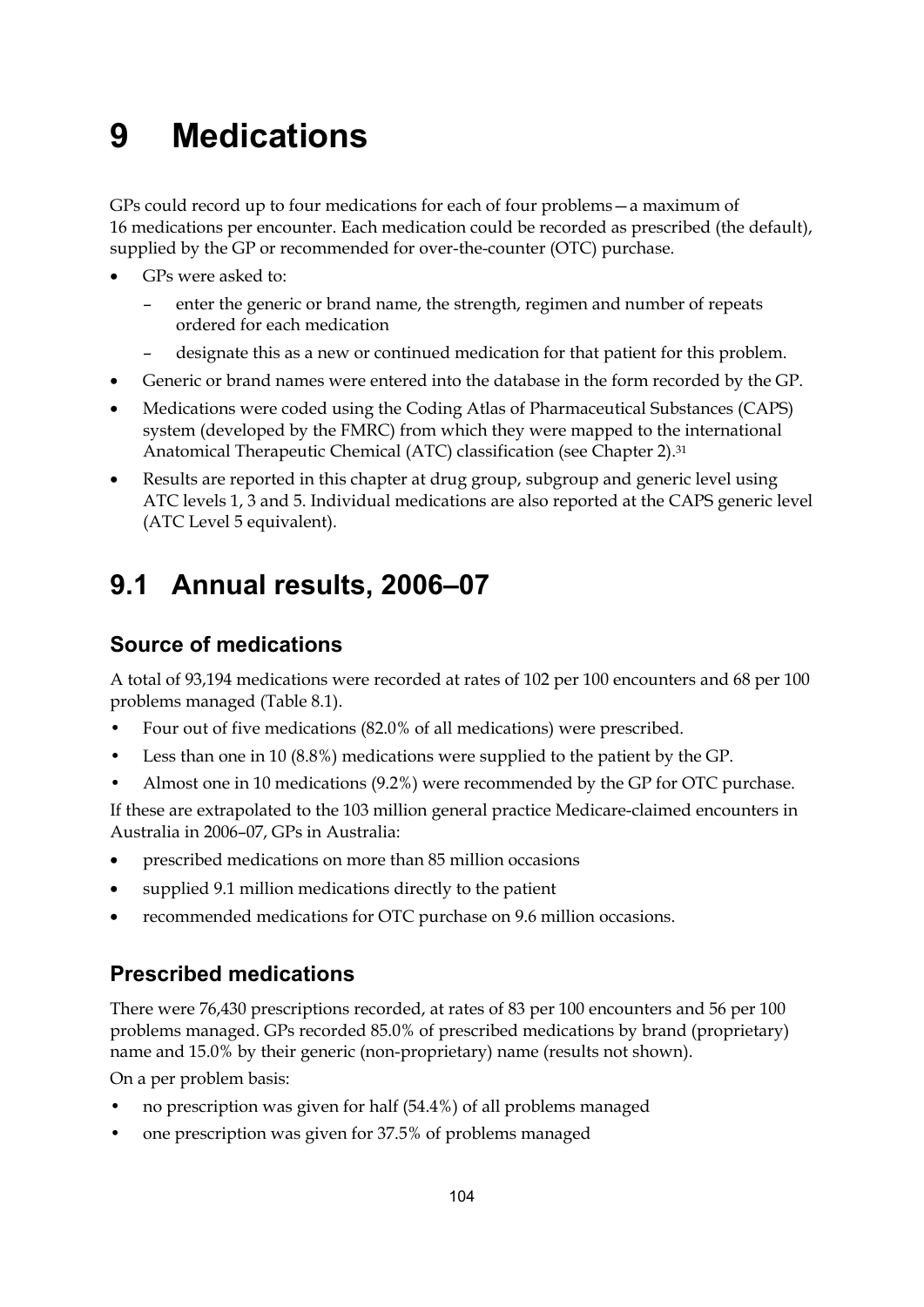# **9 Medications**

GPs could record up to four medications for each of four problems—a maximum of 16 medications per encounter. Each medication could be recorded as prescribed (the default), supplied by the GP or recommended for over-the-counter (OTC) purchase.

- GPs were asked to:
	- enter the generic or brand name, the strength, regimen and number of repeats ordered for each medication
	- designate this as a new or continued medication for that patient for this problem.
- Generic or brand names were entered into the database in the form recorded by the GP.
- Medications were coded using the Coding Atlas of Pharmaceutical Substances (CAPS) system (developed by the FMRC) from which they were mapped to the international Anatomical Therapeutic Chemical (ATC) classification (see Chapter 2).31
- Results are reported in this chapter at drug group, subgroup and generic level using ATC levels 1, 3 and 5. Individual medications are also reported at the CAPS generic level (ATC Level 5 equivalent).

# **9.1 Annual results, 2006–07**

# **Source of medications**

A total of 93,194 medications were recorded at rates of 102 per 100 encounters and 68 per 100 problems managed (Table 8.1).

- Four out of five medications (82.0% of all medications) were prescribed.
- Less than one in 10 (8.8%) medications were supplied to the patient by the GP.
- Almost one in 10 medications (9.2%) were recommended by the GP for OTC purchase.

If these are extrapolated to the 103 million general practice Medicare-claimed encounters in Australia in 2006–07, GPs in Australia:

- prescribed medications on more than 85 million occasions
- supplied 9.1 million medications directly to the patient
- recommended medications for OTC purchase on 9.6 million occasions.

# **Prescribed medications**

There were 76,430 prescriptions recorded, at rates of 83 per 100 encounters and 56 per 100 problems managed. GPs recorded 85.0% of prescribed medications by brand (proprietary) name and 15.0% by their generic (non-proprietary) name (results not shown).

On a per problem basis:

- no prescription was given for half (54.4%) of all problems managed
- one prescription was given for 37.5% of problems managed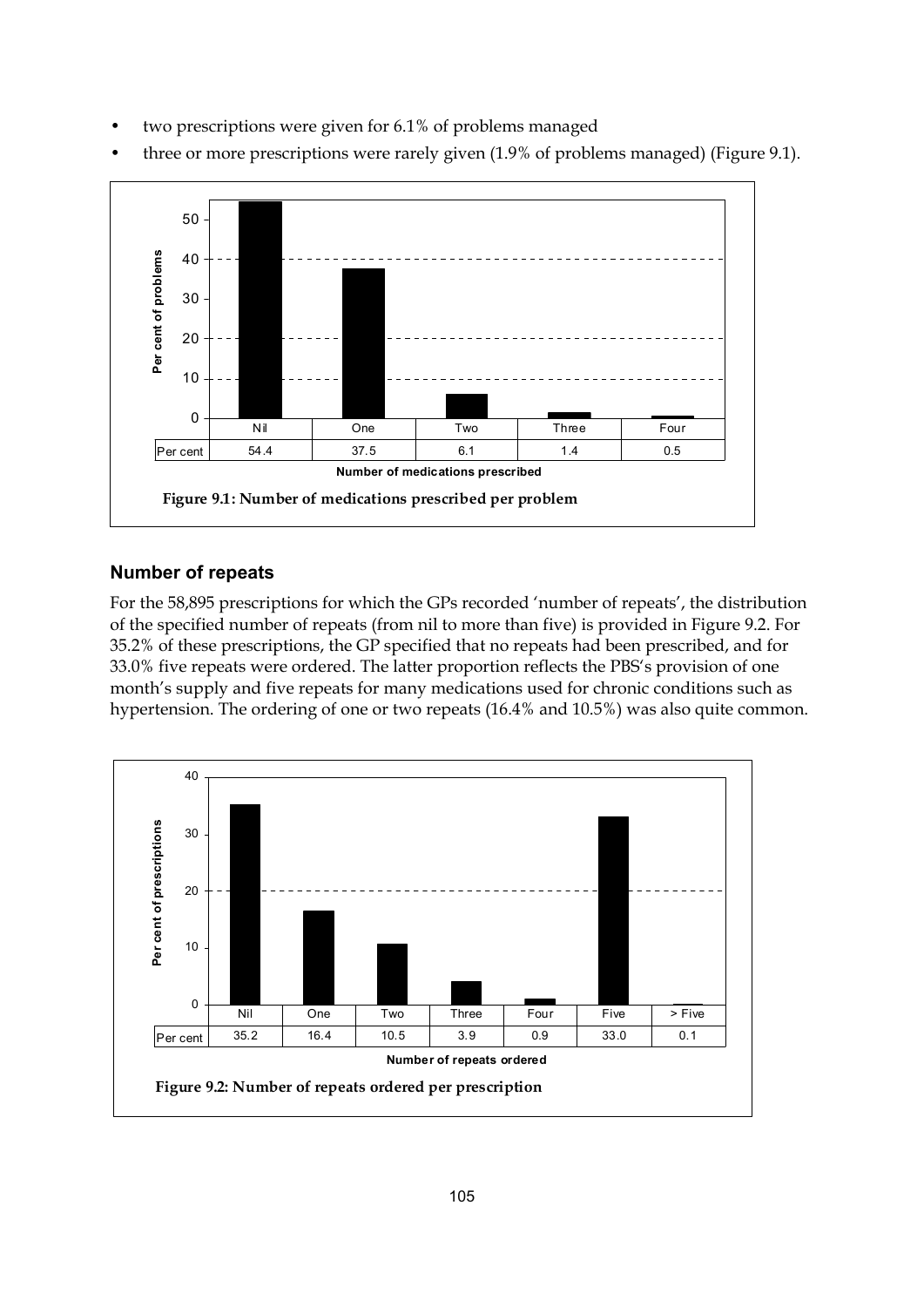two prescriptions were given for 6.1% of problems managed



• three or more prescriptions were rarely given (1.9% of problems managed) (Figure 9.1).

### **Number of repeats**

For the 58,895 prescriptions for which the GPs recorded 'number of repeats', the distribution of the specified number of repeats (from nil to more than five) is provided in Figure 9.2. For 35.2% of these prescriptions, the GP specified that no repeats had been prescribed, and for 33.0% five repeats were ordered. The latter proportion reflects the PBS's provision of one month's supply and five repeats for many medications used for chronic conditions such as hypertension. The ordering of one or two repeats (16.4% and 10.5%) was also quite common.

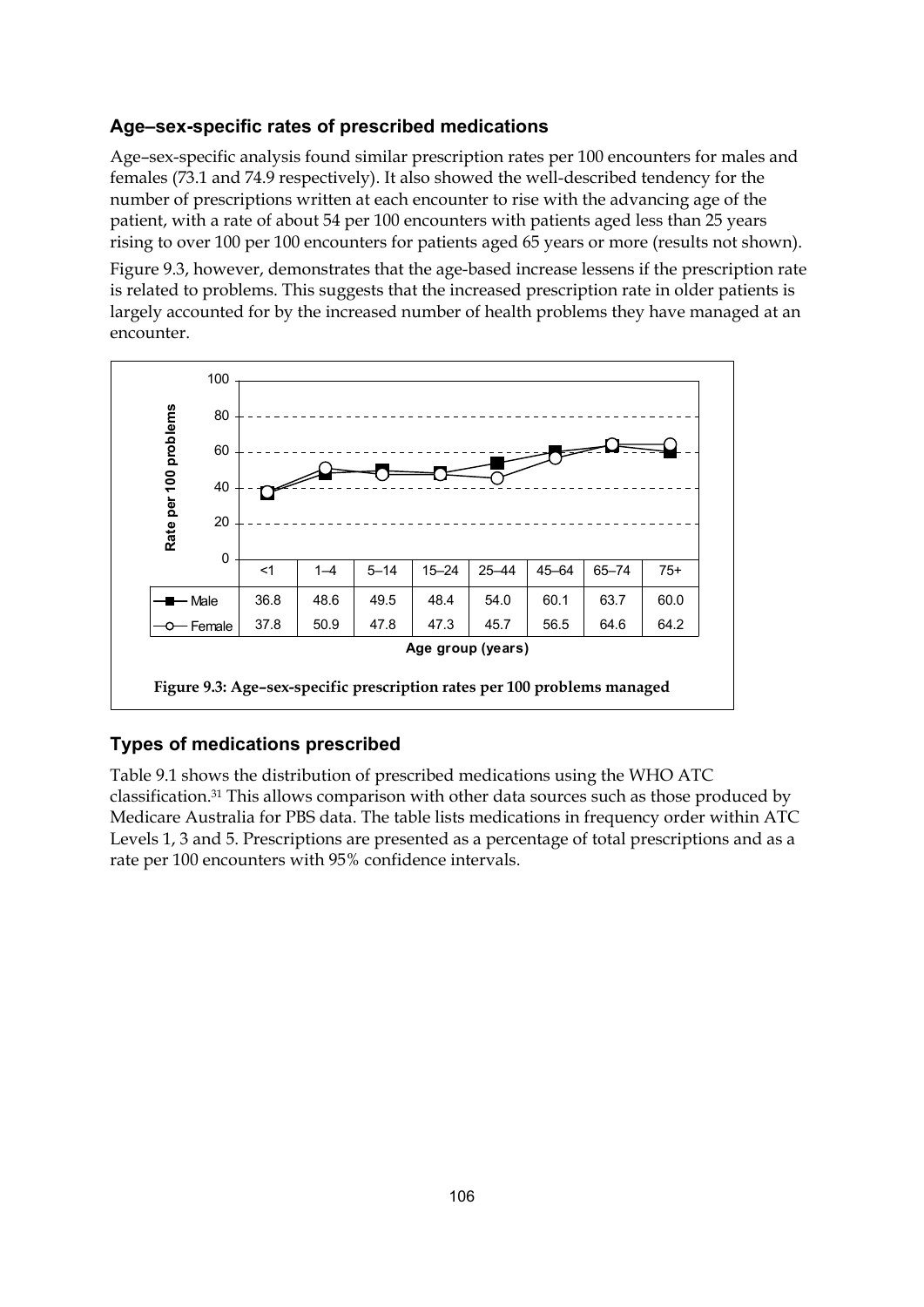## **Age–sex-specific rates of prescribed medications**

Age–sex-specific analysis found similar prescription rates per 100 encounters for males and females (73.1 and 74.9 respectively). It also showed the well-described tendency for the number of prescriptions written at each encounter to rise with the advancing age of the patient, with a rate of about 54 per 100 encounters with patients aged less than 25 years rising to over 100 per 100 encounters for patients aged 65 years or more (results not shown).

Figure 9.3, however, demonstrates that the age-based increase lessens if the prescription rate is related to problems. This suggests that the increased prescription rate in older patients is largely accounted for by the increased number of health problems they have managed at an encounter.



## **Types of medications prescribed**

Table 9.1 shows the distribution of prescribed medications using the WHO ATC classification.31 This allows comparison with other data sources such as those produced by Medicare Australia for PBS data. The table lists medications in frequency order within ATC Levels 1, 3 and 5. Prescriptions are presented as a percentage of total prescriptions and as a rate per 100 encounters with 95% confidence intervals.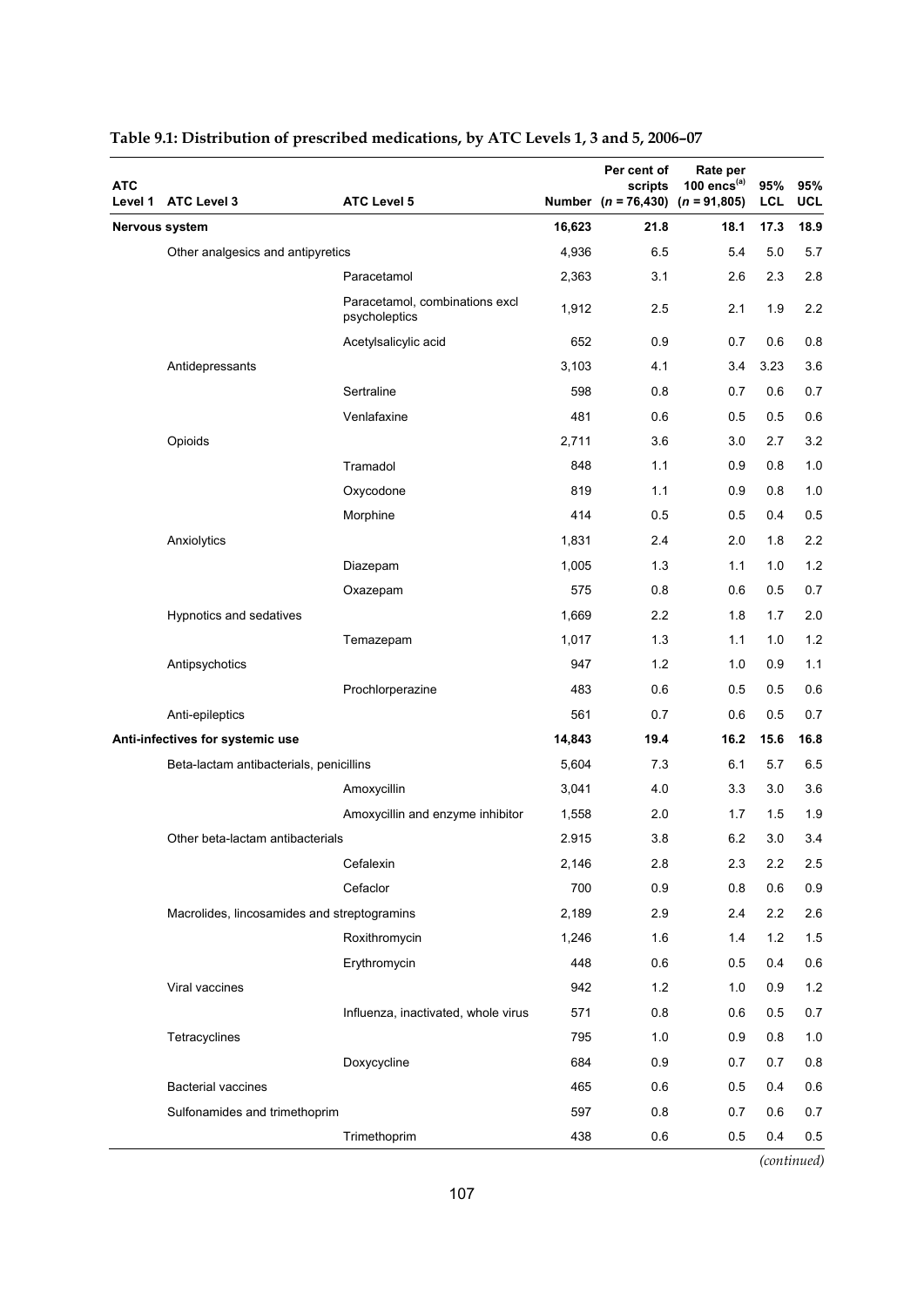| <b>ATC</b><br>Level 1 | <b>ATC Level 3</b>                          | <b>ATC Level 5</b>                              |        | Per cent of<br>scripts<br>Number $(n = 76,430)$ $(n = 91,805)$ | Rate per<br>100 $encs^{(a)}$ | 95%<br><b>LCL</b> | 95%<br><b>UCL</b> |
|-----------------------|---------------------------------------------|-------------------------------------------------|--------|----------------------------------------------------------------|------------------------------|-------------------|-------------------|
|                       | Nervous system                              |                                                 | 16,623 | 21.8                                                           | 18.1                         | 17.3              | 18.9              |
|                       | Other analgesics and antipyretics           |                                                 | 4,936  | 6.5                                                            | 5.4                          | 5.0               | 5.7               |
|                       |                                             | Paracetamol                                     | 2,363  | 3.1                                                            | 2.6                          | 2.3               | 2.8               |
|                       |                                             | Paracetamol, combinations excl<br>psycholeptics | 1,912  | 2.5                                                            | 2.1                          | 1.9               | 2.2               |
|                       |                                             | Acetylsalicylic acid                            | 652    | 0.9                                                            | 0.7                          | 0.6               | 0.8               |
|                       | Antidepressants                             |                                                 | 3,103  | 4.1                                                            | 3.4                          | 3.23              | 3.6               |
|                       |                                             | Sertraline                                      | 598    | 0.8                                                            | 0.7                          | 0.6               | 0.7               |
|                       |                                             | Venlafaxine                                     | 481    | 0.6                                                            | 0.5                          | 0.5               | 0.6               |
|                       | Opioids                                     |                                                 | 2,711  | 3.6                                                            | 3.0                          | 2.7               | 3.2               |
|                       |                                             | Tramadol                                        | 848    | 1.1                                                            | 0.9                          | 0.8               | 1.0               |
|                       |                                             | Oxycodone                                       | 819    | 1.1                                                            | 0.9                          | 0.8               | 1.0               |
|                       |                                             | Morphine                                        | 414    | 0.5                                                            | 0.5                          | 0.4               | 0.5               |
|                       | Anxiolytics                                 |                                                 | 1,831  | 2.4                                                            | 2.0                          | 1.8               | 2.2               |
|                       |                                             | Diazepam                                        | 1,005  | 1.3                                                            | 1.1                          | 1.0               | 1.2               |
|                       |                                             | Oxazepam                                        | 575    | 0.8                                                            | 0.6                          | 0.5               | 0.7               |
|                       | Hypnotics and sedatives                     |                                                 | 1,669  | 2.2                                                            | 1.8                          | 1.7               | 2.0               |
|                       |                                             | Temazepam                                       | 1,017  | 1.3                                                            | 1.1                          | 1.0               | 1.2               |
|                       | Antipsychotics                              |                                                 | 947    | 1.2                                                            | 1.0                          | 0.9               | 1.1               |
|                       |                                             | Prochlorperazine                                | 483    | 0.6                                                            | 0.5                          | 0.5               | 0.6               |
|                       | Anti-epileptics                             |                                                 | 561    | 0.7                                                            | 0.6                          | 0.5               | 0.7               |
|                       | Anti-infectives for systemic use            |                                                 | 14,843 | 19.4                                                           | 16.2                         | 15.6              | 16.8              |
|                       | Beta-lactam antibacterials, penicillins     |                                                 | 5,604  | 7.3                                                            | 6.1                          | 5.7               | 6.5               |
|                       |                                             | Amoxycillin                                     | 3,041  | 4.0                                                            | 3.3                          | 3.0               | 3.6               |
|                       |                                             | Amoxycillin and enzyme inhibitor                | 1,558  | 2.0                                                            | 1.7                          | 1.5               | 1.9               |
|                       | Other beta-lactam antibacterials            |                                                 | 2.915  | 3.8                                                            | 6.2                          | 3.0               | 3.4               |
|                       |                                             | Cefalexin                                       | 2,146  | 2.8                                                            | 2.3                          | 2.2               | 2.5               |
|                       |                                             | Cefaclor                                        | 700    | 0.9                                                            | 0.8                          | 0.6               | 0.9               |
|                       | Macrolides, lincosamides and streptogramins |                                                 | 2,189  | 2.9                                                            | 2.4                          | 2.2               | 2.6               |
|                       |                                             | Roxithromycin                                   | 1,246  | 1.6                                                            | 1.4                          | 1.2               | 1.5               |
|                       |                                             | Erythromycin                                    | 448    | 0.6                                                            | 0.5                          | 0.4               | 0.6               |
|                       | Viral vaccines                              |                                                 | 942    | 1.2                                                            | 1.0                          | 0.9               | 1.2               |
|                       |                                             | Influenza, inactivated, whole virus             | 571    | 0.8                                                            | 0.6                          | 0.5               | 0.7               |
|                       | Tetracyclines                               |                                                 | 795    | 1.0                                                            | 0.9                          | 0.8               | $1.0$             |
|                       |                                             | Doxycycline                                     | 684    | 0.9                                                            | 0.7                          | 0.7               | 0.8               |
|                       | <b>Bacterial vaccines</b>                   |                                                 | 465    | 0.6                                                            | 0.5                          | 0.4               | 0.6               |
|                       | Sulfonamides and trimethoprim               |                                                 | 597    | 0.8                                                            | 0.7                          | 0.6               | 0.7               |
|                       |                                             | Trimethoprim                                    | 438    | 0.6                                                            | 0.5                          | 0.4               | 0.5               |

# **Table 9.1: Distribution of prescribed medications, by ATC Levels 1, 3 and 5, 2006–07**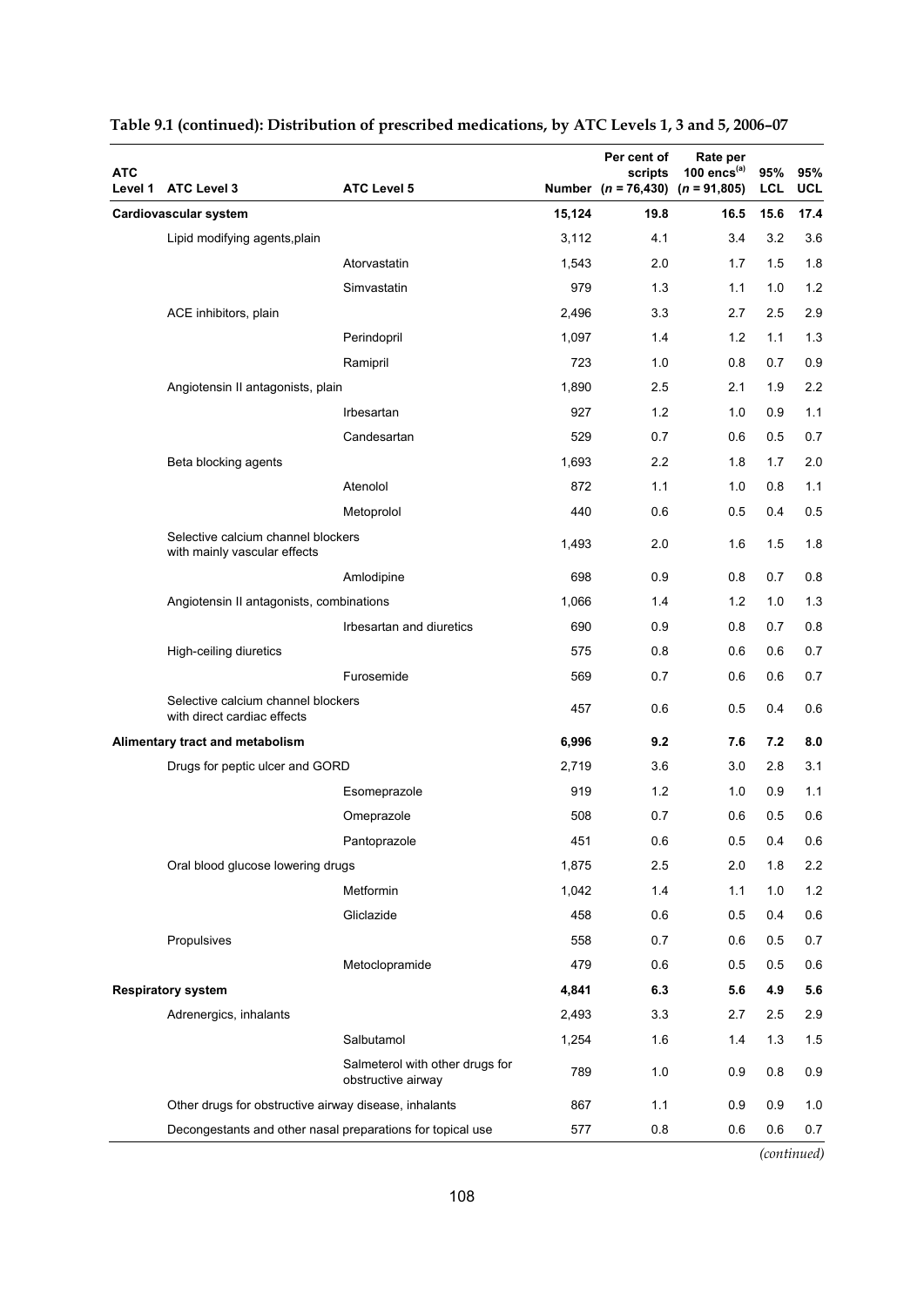| <b>ATC</b><br>Level 1 | <b>ATC Level 3</b>                                                 | <b>ATC Level 5</b>                                    |        | Per cent of<br>scripts<br>Number $(n = 76,430)$ $(n = 91,805)$ | Rate per<br>100 encs $(a)$ | 95%<br><b>LCL</b> | 95%<br><b>UCL</b> |
|-----------------------|--------------------------------------------------------------------|-------------------------------------------------------|--------|----------------------------------------------------------------|----------------------------|-------------------|-------------------|
|                       | Cardiovascular system                                              |                                                       | 15,124 | 19.8                                                           | 16.5                       | 15.6              | 17.4              |
|                       | Lipid modifying agents, plain                                      |                                                       | 3,112  | 4.1                                                            | 3.4                        | 3.2               | 3.6               |
|                       |                                                                    | Atorvastatin                                          | 1,543  | 2.0                                                            | 1.7                        | 1.5               | 1.8               |
|                       |                                                                    | Simvastatin                                           | 979    | 1.3                                                            | 1.1                        | 1.0               | 1.2               |
|                       | ACE inhibitors, plain                                              |                                                       | 2,496  | 3.3                                                            | 2.7                        | 2.5               | 2.9               |
|                       |                                                                    | Perindopril                                           | 1,097  | 1.4                                                            | 1.2                        | 1.1               | 1.3               |
|                       |                                                                    | Ramipril                                              | 723    | 1.0                                                            | 0.8                        | 0.7               | 0.9               |
|                       | Angiotensin II antagonists, plain                                  |                                                       | 1,890  | 2.5                                                            | 2.1                        | 1.9               | 2.2               |
|                       |                                                                    | Irbesartan                                            | 927    | 1.2                                                            | 1.0                        | 0.9               | 1.1               |
|                       |                                                                    | Candesartan                                           | 529    | 0.7                                                            | 0.6                        | 0.5               | 0.7               |
|                       | Beta blocking agents                                               |                                                       | 1,693  | 2.2                                                            | 1.8                        | 1.7               | 2.0               |
|                       |                                                                    | Atenolol                                              | 872    | 1.1                                                            | 1.0                        | 0.8               | 1.1               |
|                       |                                                                    | Metoprolol                                            | 440    | 0.6                                                            | 0.5                        | 0.4               | 0.5               |
|                       | Selective calcium channel blockers<br>with mainly vascular effects |                                                       | 1,493  | 2.0                                                            | 1.6                        | 1.5               | 1.8               |
|                       |                                                                    | Amlodipine                                            | 698    | 0.9                                                            | 0.8                        | 0.7               | 0.8               |
|                       | Angiotensin II antagonists, combinations                           |                                                       | 1,066  | 1.4                                                            | 1.2                        | 1.0               | 1.3               |
|                       |                                                                    | Irbesartan and diuretics                              | 690    | 0.9                                                            | 0.8                        | 0.7               | 0.8               |
|                       | High-ceiling diuretics                                             |                                                       | 575    | 0.8                                                            | 0.6                        | 0.6               | 0.7               |
|                       |                                                                    | Furosemide                                            | 569    | 0.7                                                            | 0.6                        | 0.6               | 0.7               |
|                       | Selective calcium channel blockers<br>with direct cardiac effects  |                                                       | 457    | 0.6                                                            | 0.5                        | 0.4               | 0.6               |
|                       | Alimentary tract and metabolism                                    |                                                       | 6,996  | 9.2                                                            | 7.6                        | 7.2               | 8.0               |
|                       | Drugs for peptic ulcer and GORD                                    |                                                       | 2,719  | 3.6                                                            | 3.0                        | 2.8               | 3.1               |
|                       |                                                                    | Esomeprazole                                          | 919    | 1.2                                                            | 1.0                        | 0.9               | 1.1               |
|                       |                                                                    | Omeprazole                                            | 508    | 0.7                                                            | 0.6                        | 0.5               | 0.6               |
|                       |                                                                    | Pantoprazole                                          | 451    | 0.6                                                            | 0.5                        | 0.4               | 0.6               |
|                       | Oral blood glucose lowering drugs                                  |                                                       | 1,875  | 2.5                                                            | 2.0                        | 1.8               | 2.2               |
|                       |                                                                    | Metformin                                             | 1,042  | 1.4                                                            | 1.1                        | 1.0               | 1.2               |
|                       |                                                                    | Gliclazide                                            | 458    | 0.6                                                            | 0.5                        | 0.4               | 0.6               |
|                       | Propulsives                                                        |                                                       | 558    | 0.7                                                            | 0.6                        | 0.5               | 0.7               |
|                       |                                                                    | Metoclopramide                                        | 479    | 0.6                                                            | 0.5                        | 0.5               | 0.6               |
|                       | <b>Respiratory system</b>                                          |                                                       | 4,841  | 6.3                                                            | 5.6                        | 4.9               | 5.6               |
|                       | Adrenergics, inhalants                                             |                                                       | 2,493  | 3.3                                                            | 2.7                        | 2.5               | 2.9               |
|                       |                                                                    | Salbutamol                                            | 1,254  | 1.6                                                            | 1.4                        | 1.3               | 1.5               |
|                       |                                                                    | Salmeterol with other drugs for<br>obstructive airway | 789    | 1.0                                                            | 0.9                        | 0.8               | 0.9               |
|                       | Other drugs for obstructive airway disease, inhalants              |                                                       | 867    | 1.1                                                            | 0.9                        | 0.9               | 1.0               |
|                       | Decongestants and other nasal preparations for topical use         |                                                       | 577    | 0.8                                                            | 0.6                        | 0.6               | 0.7               |

### **Table 9.1 (continued): Distribution of prescribed medications, by ATC Levels 1, 3 and 5, 2006–07**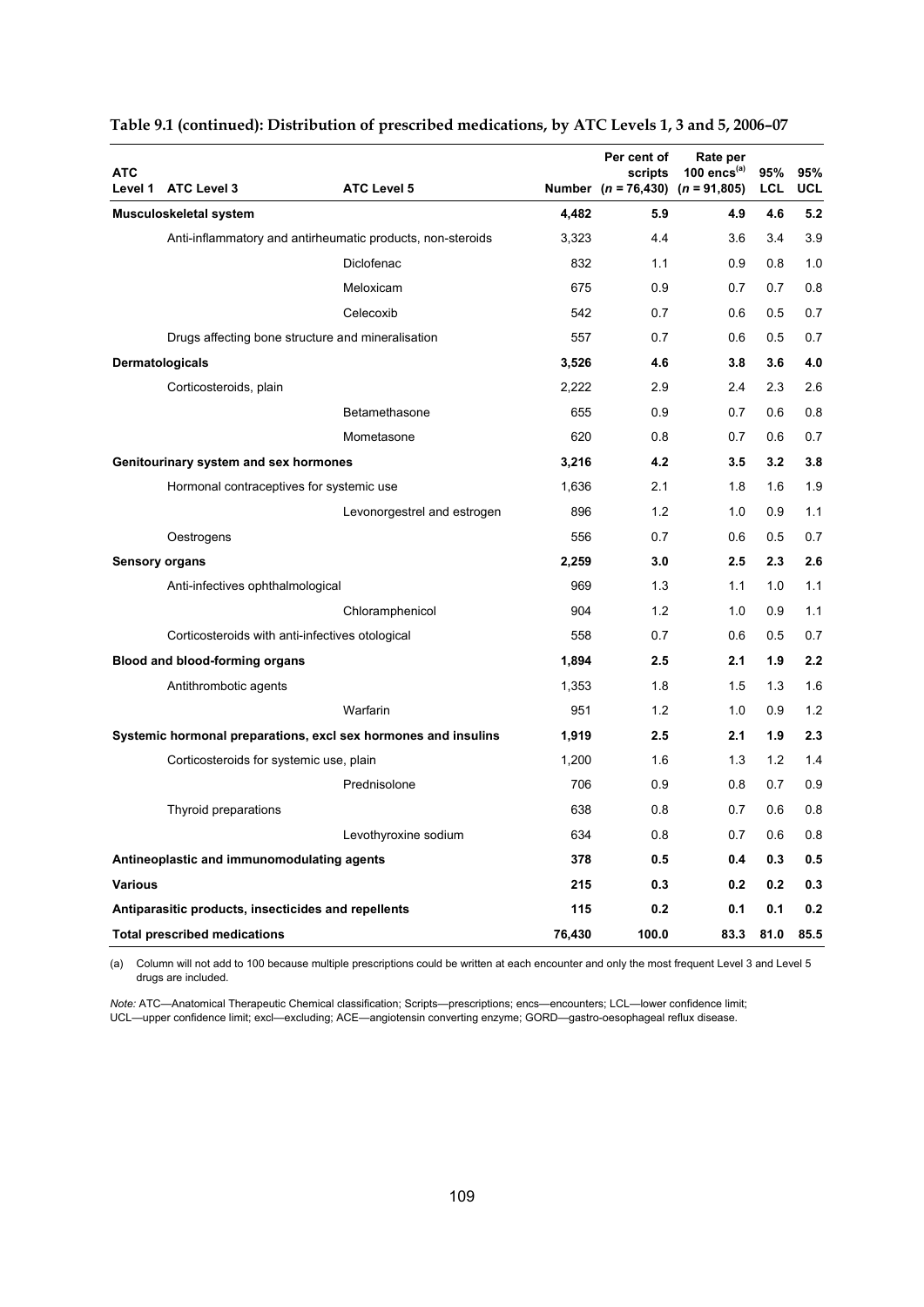| <b>ATC</b>     | Level 1 ATC Level 3                                 | <b>ATC Level 5</b>                                             |        | Per cent of<br>scripts<br>Number $(n = 76,430)$ $(n = 91,805)$ | Rate per<br>100 encs $(a)$ | 95%<br>LCL | 95%<br>UCL |
|----------------|-----------------------------------------------------|----------------------------------------------------------------|--------|----------------------------------------------------------------|----------------------------|------------|------------|
|                | <b>Musculoskeletal system</b>                       |                                                                | 4,482  | 5.9                                                            | 4.9                        | 4.6        | 5.2        |
|                |                                                     | Anti-inflammatory and antirheumatic products, non-steroids     | 3,323  | 4.4                                                            | 3.6                        | 3.4        | 3.9        |
|                |                                                     | Diclofenac                                                     | 832    | 1.1                                                            | 0.9                        | 0.8        | 1.0        |
|                |                                                     | Meloxicam                                                      | 675    | 0.9                                                            | 0.7                        | 0.7        | 0.8        |
|                |                                                     | Celecoxib                                                      | 542    | 0.7                                                            | 0.6                        | 0.5        | 0.7        |
|                |                                                     | Drugs affecting bone structure and mineralisation              | 557    | 0.7                                                            | 0.6                        | 0.5        | 0.7        |
|                | Dermatologicals                                     |                                                                | 3,526  | 4.6                                                            | 3.8                        | 3.6        | 4.0        |
|                | Corticosteroids, plain                              |                                                                | 2,222  | 2.9                                                            | 2.4                        | 2.3        | 2.6        |
|                |                                                     | Betamethasone                                                  | 655    | 0.9                                                            | 0.7                        | 0.6        | 0.8        |
|                |                                                     | Mometasone                                                     | 620    | 0.8                                                            | 0.7                        | 0.6        | 0.7        |
|                | Genitourinary system and sex hormones               |                                                                | 3,216  | 4.2                                                            | 3.5                        | 3.2        | 3.8        |
|                | Hormonal contraceptives for systemic use            |                                                                | 1,636  | 2.1                                                            | 1.8                        | 1.6        | 1.9        |
|                |                                                     | Levonorgestrel and estrogen                                    | 896    | 1.2                                                            | 1.0                        | 0.9        | 1.1        |
|                | Oestrogens                                          |                                                                | 556    | 0.7                                                            | 0.6                        | 0.5        | 0.7        |
|                | <b>Sensory organs</b>                               |                                                                | 2,259  | 3.0                                                            | 2.5                        | 2.3        | 2.6        |
|                | Anti-infectives ophthalmological                    |                                                                | 969    | 1.3                                                            | 1.1                        | 1.0        | 1.1        |
|                |                                                     | Chloramphenicol                                                | 904    | 1.2                                                            | 1.0                        | 0.9        | 1.1        |
|                | Corticosteroids with anti-infectives otological     |                                                                | 558    | 0.7                                                            | 0.6                        | 0.5        | 0.7        |
|                | Blood and blood-forming organs                      |                                                                | 1,894  | 2.5                                                            | 2.1                        | 1.9        | 2.2        |
|                | Antithrombotic agents                               |                                                                | 1,353  | 1.8                                                            | 1.5                        | 1.3        | 1.6        |
|                |                                                     | Warfarin                                                       | 951    | 1.2                                                            | 1.0                        | 0.9        | 1.2        |
|                |                                                     | Systemic hormonal preparations, excl sex hormones and insulins | 1,919  | 2.5                                                            | 2.1                        | 1.9        | 2.3        |
|                | Corticosteroids for systemic use, plain             |                                                                | 1,200  | 1.6                                                            | 1.3                        | 1.2        | 1.4        |
|                |                                                     | Prednisolone                                                   | 706    | 0.9                                                            | 0.8                        | 0.7        | 0.9        |
|                | Thyroid preparations                                |                                                                | 638    | 0.8                                                            | 0.7                        | 0.6        | 0.8        |
|                |                                                     | Levothyroxine sodium                                           | 634    | 0.8                                                            | 0.7                        | 0.6        | 0.8        |
|                | Antineoplastic and immunomodulating agents          |                                                                | 378    | 0.5                                                            | 0.4                        | 0.3        | 0.5        |
| <b>Various</b> |                                                     |                                                                | 215    | 0.3                                                            | 0.2                        | 0.2        | 0.3        |
|                | Antiparasitic products, insecticides and repellents |                                                                | 115    | 0.2                                                            | 0.1                        | 0.1        | 0.2        |
|                | <b>Total prescribed medications</b>                 |                                                                | 76,430 | 100.0                                                          | 83.3                       | 81.0       | 85.5       |

#### **Table 9.1 (continued): Distribution of prescribed medications, by ATC Levels 1, 3 and 5, 2006–07**

(a) Column will not add to 100 because multiple prescriptions could be written at each encounter and only the most frequent Level 3 and Level 5 drugs are included.

*Note:* ATC—Anatomical Therapeutic Chemical classification; Scripts—prescriptions; encs—encounters; LCL—lower confidence limit; UCL—upper confidence limit; excl—excluding; ACE—angiotensin converting enzyme; GORD—gastro-oesophageal reflux disease.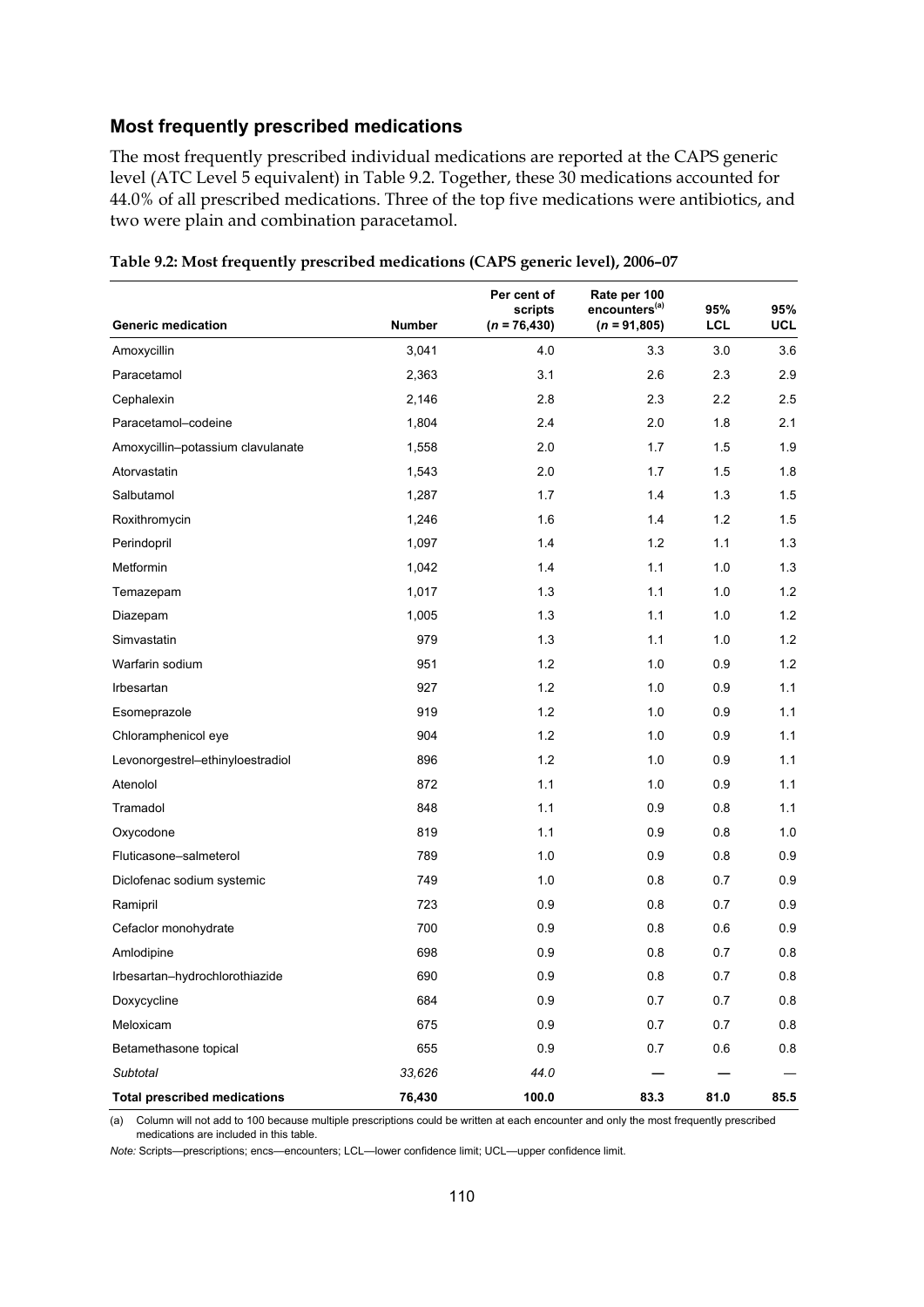#### **Most frequently prescribed medications**

The most frequently prescribed individual medications are reported at the CAPS generic level (ATC Level 5 equivalent) in Table 9.2. Together, these 30 medications accounted for 44.0% of all prescribed medications. Three of the top five medications were antibiotics, and two were plain and combination paracetamol.

|                                     |               | Per cent of<br>scripts | Rate per 100<br>encounters <sup>(a)</sup> | 95%        | 95%  |
|-------------------------------------|---------------|------------------------|-------------------------------------------|------------|------|
| <b>Generic medication</b>           | <b>Number</b> | $(n = 76, 430)$        | $(n = 91,805)$                            | <b>LCL</b> | UCL  |
| Amoxycillin                         | 3,041         | 4.0                    | 3.3                                       | 3.0        | 3.6  |
| Paracetamol                         | 2,363         | 3.1                    | 2.6                                       | 2.3        | 2.9  |
| Cephalexin                          | 2,146         | 2.8                    | 2.3                                       | 2.2        | 2.5  |
| Paracetamol-codeine                 | 1,804         | 2.4                    | 2.0                                       | 1.8        | 2.1  |
| Amoxycillin-potassium clavulanate   | 1,558         | 2.0                    | 1.7                                       | 1.5        | 1.9  |
| Atorvastatin                        | 1,543         | 2.0                    | 1.7                                       | 1.5        | 1.8  |
| Salbutamol                          | 1,287         | 1.7                    | 1.4                                       | 1.3        | 1.5  |
| Roxithromycin                       | 1,246         | 1.6                    | 1.4                                       | 1.2        | 1.5  |
| Perindopril                         | 1,097         | 1.4                    | 1.2                                       | 1.1        | 1.3  |
| Metformin                           | 1,042         | 1.4                    | 1.1                                       | 1.0        | 1.3  |
| Temazepam                           | 1,017         | 1.3                    | 1.1                                       | 1.0        | 1.2  |
| Diazepam                            | 1,005         | 1.3                    | 1.1                                       | 1.0        | 1.2  |
| Simvastatin                         | 979           | 1.3                    | 1.1                                       | 1.0        | 1.2  |
| Warfarin sodium                     | 951           | 1.2                    | 1.0                                       | 0.9        | 1.2  |
| Irbesartan                          | 927           | 1.2                    | 1.0                                       | 0.9        | 1.1  |
| Esomeprazole                        | 919           | 1.2                    | 1.0                                       | 0.9        | 1.1  |
| Chloramphenicol eye                 | 904           | 1.2                    | 1.0                                       | 0.9        | 1.1  |
| Levonorgestrel-ethinyloestradiol    | 896           | 1.2                    | 1.0                                       | 0.9        | 1.1  |
| Atenolol                            | 872           | 1.1                    | 1.0                                       | 0.9        | 1.1  |
| Tramadol                            | 848           | 1.1                    | 0.9                                       | 0.8        | 1.1  |
| Oxycodone                           | 819           | 1.1                    | 0.9                                       | 0.8        | 1.0  |
| Fluticasone-salmeterol              | 789           | 1.0                    | 0.9                                       | 0.8        | 0.9  |
| Diclofenac sodium systemic          | 749           | 1.0                    | 0.8                                       | 0.7        | 0.9  |
| Ramipril                            | 723           | 0.9                    | 0.8                                       | 0.7        | 0.9  |
| Cefaclor monohydrate                | 700           | 0.9                    | 0.8                                       | 0.6        | 0.9  |
| Amlodipine                          | 698           | 0.9                    | 0.8                                       | 0.7        | 0.8  |
| Irbesartan-hydrochlorothiazide      | 690           | 0.9                    | 0.8                                       | 0.7        | 0.8  |
| Doxycycline                         | 684           | 0.9                    | 0.7                                       | 0.7        | 0.8  |
| Meloxicam                           | 675           | 0.9                    | 0.7                                       | 0.7        | 0.8  |
| Betamethasone topical               | 655           | 0.9                    | 0.7                                       | 0.6        | 0.8  |
| Subtotal                            | 33,626        | 44.0                   |                                           |            |      |
| <b>Total prescribed medications</b> | 76,430        | 100.0                  | 83.3                                      | 81.0       | 85.5 |

| Table 9.2: Most frequently prescribed medications (CAPS generic level), 2006-07 |  |  |  |  |
|---------------------------------------------------------------------------------|--|--|--|--|
|                                                                                 |  |  |  |  |

(a) Column will not add to 100 because multiple prescriptions could be written at each encounter and only the most frequently prescribed medications are included in this table.

*Note:* Scripts—prescriptions; encs—encounters; LCL—lower confidence limit; UCL—upper confidence limit.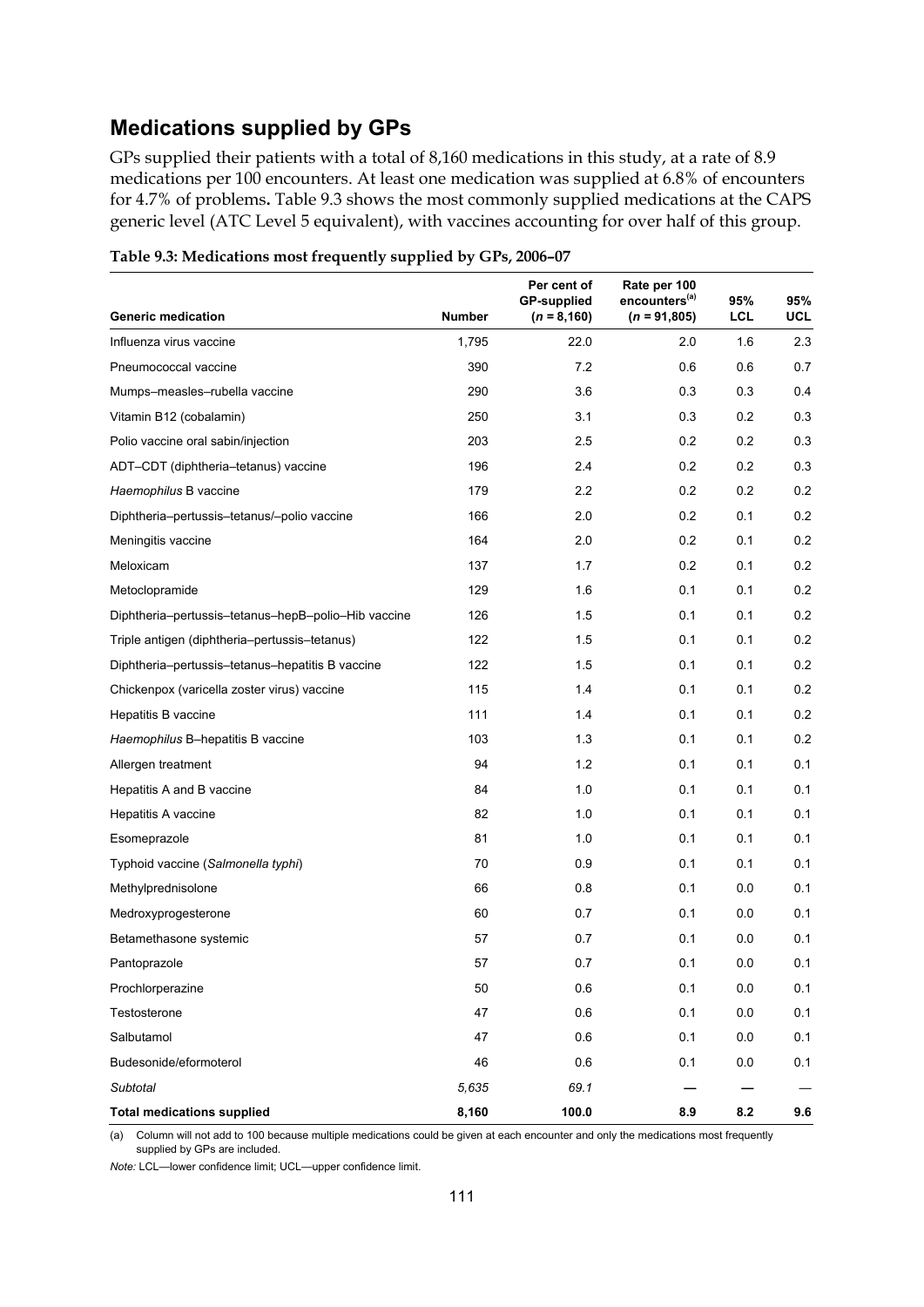## **Medications supplied by GPs**

GPs supplied their patients with a total of 8,160 medications in this study, at a rate of 8.9 medications per 100 encounters. At least one medication was supplied at 6.8% of encounters for 4.7% of problems**.** Table 9.3 shows the most commonly supplied medications at the CAPS generic level (ATC Level 5 equivalent), with vaccines accounting for over half of this group.

|                                                     |               | Per cent of<br><b>GP-supplied</b> | Rate per 100<br>encounters <sup>(a)</sup> | 95%        | 95%        |
|-----------------------------------------------------|---------------|-----------------------------------|-------------------------------------------|------------|------------|
| <b>Generic medication</b>                           | <b>Number</b> | $(n = 8, 160)$                    | $(n = 91,805)$                            | <b>LCL</b> | <b>UCL</b> |
| Influenza virus vaccine                             | 1,795         | 22.0                              | 2.0                                       | 1.6        | 2.3        |
| Pneumococcal vaccine                                | 390           | 7.2                               | 0.6                                       | 0.6        | 0.7        |
| Mumps-measles-rubella vaccine                       | 290           | 3.6                               | 0.3                                       | 0.3        | 0.4        |
| Vitamin B12 (cobalamin)                             | 250           | 3.1                               | 0.3                                       | 0.2        | 0.3        |
| Polio vaccine oral sabin/injection                  | 203           | 2.5                               | 0.2                                       | 0.2        | 0.3        |
| ADT-CDT (diphtheria-tetanus) vaccine                | 196           | 2.4                               | 0.2                                       | 0.2        | 0.3        |
| Haemophilus B vaccine                               | 179           | 2.2                               | 0.2                                       | 0.2        | 0.2        |
| Diphtheria-pertussis-tetanus/-polio vaccine         | 166           | 2.0                               | 0.2                                       | 0.1        | 0.2        |
| Meningitis vaccine                                  | 164           | 2.0                               | 0.2                                       | 0.1        | 0.2        |
| Meloxicam                                           | 137           | 1.7                               | 0.2                                       | 0.1        | 0.2        |
| Metoclopramide                                      | 129           | 1.6                               | 0.1                                       | 0.1        | 0.2        |
| Diphtheria-pertussis-tetanus-hepB-polio-Hib vaccine | 126           | 1.5                               | 0.1                                       | 0.1        | 0.2        |
| Triple antigen (diphtheria-pertussis-tetanus)       | 122           | 1.5                               | 0.1                                       | 0.1        | 0.2        |
| Diphtheria-pertussis-tetanus-hepatitis B vaccine    | 122           | 1.5                               | 0.1                                       | 0.1        | 0.2        |
| Chickenpox (varicella zoster virus) vaccine         | 115           | 1.4                               | 0.1                                       | 0.1        | 0.2        |
| Hepatitis B vaccine                                 | 111           | 1.4                               | 0.1                                       | 0.1        | 0.2        |
| Haemophilus B-hepatitis B vaccine                   | 103           | 1.3                               | 0.1                                       | 0.1        | 0.2        |
| Allergen treatment                                  | 94            | $1.2$                             | 0.1                                       | 0.1        | 0.1        |
| Hepatitis A and B vaccine                           | 84            | 1.0                               | 0.1                                       | 0.1        | 0.1        |
| Hepatitis A vaccine                                 | 82            | 1.0                               | 0.1                                       | 0.1        | 0.1        |
| Esomeprazole                                        | 81            | 1.0                               | 0.1                                       | 0.1        | 0.1        |
| Typhoid vaccine (Salmonella typhi)                  | 70            | 0.9                               | 0.1                                       | 0.1        | 0.1        |
| Methylprednisolone                                  | 66            | 0.8                               | 0.1                                       | 0.0        | 0.1        |
| Medroxyprogesterone                                 | 60            | 0.7                               | 0.1                                       | 0.0        | 0.1        |
| Betamethasone systemic                              | 57            | 0.7                               | 0.1                                       | 0.0        | 0.1        |
| Pantoprazole                                        | 57            | 0.7                               | 0.1                                       | 0.0        | 0.1        |
| Prochlorperazine                                    | 50            | 0.6                               | 0.1                                       | 0.0        | 0.1        |
| Testosterone                                        | 47            | 0.6                               | 0.1                                       | 0.0        | 0.1        |
| Salbutamol                                          | 47            | 0.6                               | 0.1                                       | 0.0        | 0.1        |
| Budesonide/eformoterol                              | 46            | 0.6                               | 0.1                                       | 0.0        | 0.1        |
| Subtotal                                            | 5,635         | 69.1                              |                                           |            |            |
| <b>Total medications supplied</b>                   | 8,160         | 100.0                             | 8.9                                       | 8.2        | 9.6        |

**Table 9.3: Medications most frequently supplied by GPs, 2006–07** 

(a) Column will not add to 100 because multiple medications could be given at each encounter and only the medications most frequently supplied by GPs are included.

*Note:* LCL—lower confidence limit; UCL—upper confidence limit.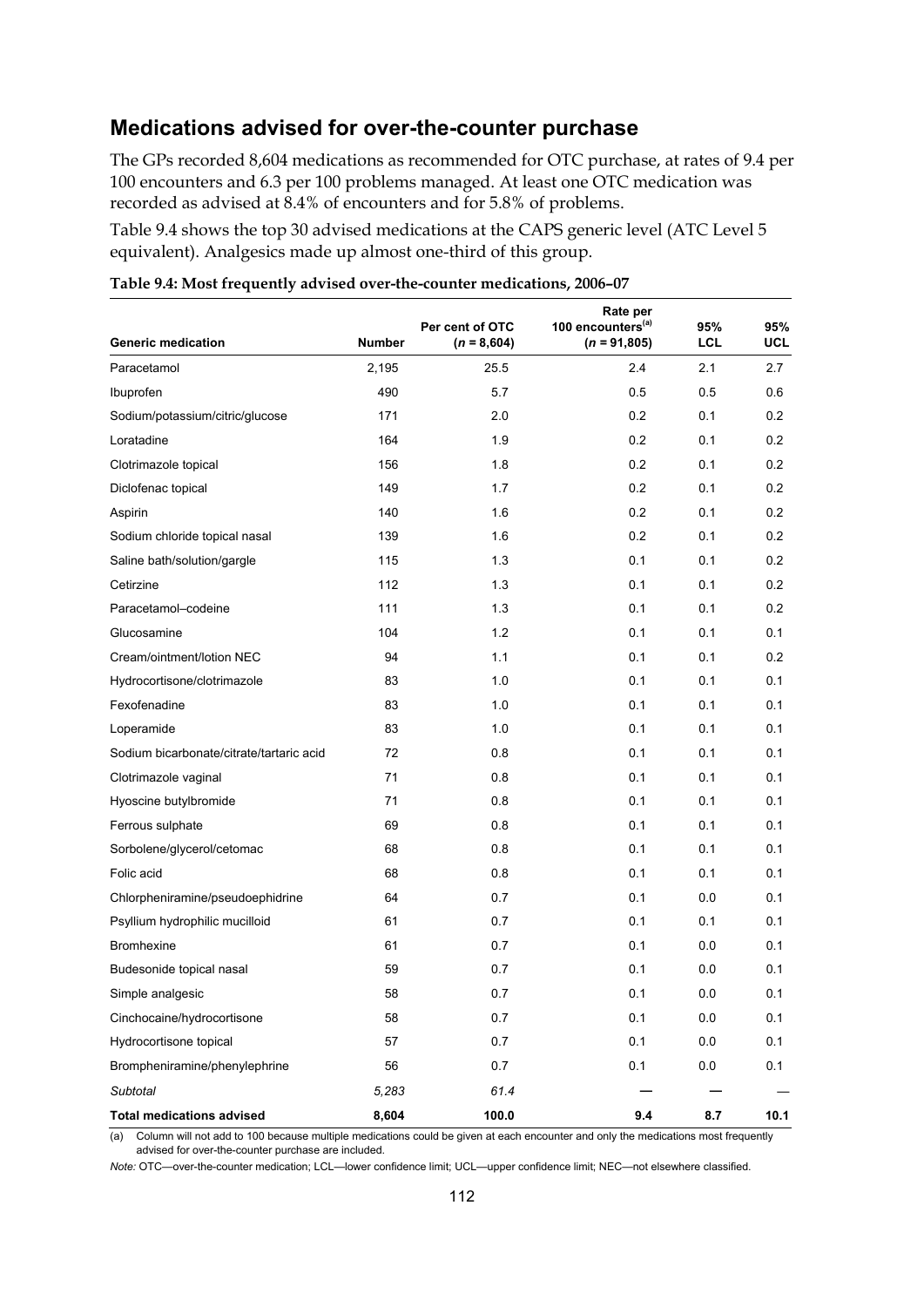### **Medications advised for over-the-counter purchase**

The GPs recorded 8,604 medications as recommended for OTC purchase, at rates of 9.4 per 100 encounters and 6.3 per 100 problems managed. At least one OTC medication was recorded as advised at 8.4% of encounters and for 5.8% of problems.

Table 9.4 shows the top 30 advised medications at the CAPS generic level (ATC Level 5 equivalent). Analgesics made up almost one-third of this group.

| <b>Generic medication</b>                | <b>Number</b> | Per cent of OTC<br>$(n = 8,604)$ | Rate per<br>100 encounters <sup>(a)</sup><br>$(n = 91,805)$ | 95%<br>LCL | 95%<br>UCL |
|------------------------------------------|---------------|----------------------------------|-------------------------------------------------------------|------------|------------|
| Paracetamol                              | 2,195         | 25.5                             | 2.4                                                         | 2.1        | 2.7        |
| Ibuprofen                                | 490           | 5.7                              | 0.5                                                         | 0.5        | 0.6        |
| Sodium/potassium/citric/glucose          | 171           | 2.0                              | 0.2                                                         | 0.1        | 0.2        |
| Loratadine                               | 164           | 1.9                              | 0.2                                                         | 0.1        | 0.2        |
| Clotrimazole topical                     | 156           | 1.8                              | 0.2                                                         | 0.1        | 0.2        |
| Diclofenac topical                       | 149           | 1.7                              | 0.2                                                         | 0.1        | 0.2        |
| Aspirin                                  | 140           | 1.6                              | 0.2                                                         | 0.1        | 0.2        |
| Sodium chloride topical nasal            | 139           | 1.6                              | 0.2                                                         | 0.1        | 0.2        |
| Saline bath/solution/gargle              | 115           | 1.3                              | 0.1                                                         | 0.1        | 0.2        |
| Cetirzine                                | 112           | 1.3                              | 0.1                                                         | 0.1        | 0.2        |
| Paracetamol-codeine                      | 111           | 1.3                              | 0.1                                                         | 0.1        | 0.2        |
| Glucosamine                              | 104           | 1.2                              | 0.1                                                         | 0.1        | 0.1        |
| Cream/ointment/lotion NEC                | 94            | 1.1                              | 0.1                                                         | 0.1        | 0.2        |
| Hydrocortisone/clotrimazole              | 83            | 1.0                              | 0.1                                                         | 0.1        | 0.1        |
| Fexofenadine                             | 83            | 1.0                              | 0.1                                                         | 0.1        | 0.1        |
| Loperamide                               | 83            | 1.0                              | 0.1                                                         | 0.1        | 0.1        |
| Sodium bicarbonate/citrate/tartaric acid | 72            | 0.8                              | 0.1                                                         | 0.1        | 0.1        |
| Clotrimazole vaginal                     | 71            | 0.8                              | 0.1                                                         | 0.1        | 0.1        |
| Hyoscine butylbromide                    | 71            | 0.8                              | 0.1                                                         | 0.1        | 0.1        |
| Ferrous sulphate                         | 69            | 0.8                              | 0.1                                                         | 0.1        | 0.1        |
| Sorbolene/glycerol/cetomac               | 68            | 0.8                              | 0.1                                                         | 0.1        | 0.1        |
| Folic acid                               | 68            | 0.8                              | 0.1                                                         | 0.1        | 0.1        |
| Chlorpheniramine/pseudoephidrine         | 64            | 0.7                              | 0.1                                                         | 0.0        | 0.1        |
| Psyllium hydrophilic mucilloid           | 61            | 0.7                              | 0.1                                                         | 0.1        | 0.1        |
| <b>Bromhexine</b>                        | 61            | 0.7                              | 0.1                                                         | 0.0        | 0.1        |
| Budesonide topical nasal                 | 59            | 0.7                              | 0.1                                                         | 0.0        | 0.1        |
| Simple analgesic                         | 58            | 0.7                              | 0.1                                                         | 0.0        | 0.1        |
| Cinchocaine/hydrocortisone               | 58            | $0.7\,$                          | 0.1                                                         | $0.0\,$    | 0.1        |
| Hydrocortisone topical                   | 57            | 0.7                              | 0.1                                                         | 0.0        | 0.1        |
| Brompheniramine/phenylephrine            | 56            | 0.7                              | 0.1                                                         | 0.0        | 0.1        |
| Subtotal                                 | 5,283         | 61.4                             |                                                             |            |            |
| <b>Total medications advised</b>         | 8,604         | 100.0                            | 9.4                                                         | 8.7        | 10.1       |

**Table 9.4: Most frequently advised over-the-counter medications, 2006–07** 

 $\overline{a}$  Column will not add to 100 because multiple medications could be given at each encounter and only the medications most frequently advised for over-the-counter purchase are included.

*Note:* OTC—over-the-counter medication; LCL—lower confidence limit; UCL—upper confidence limit; NEC—not elsewhere classified.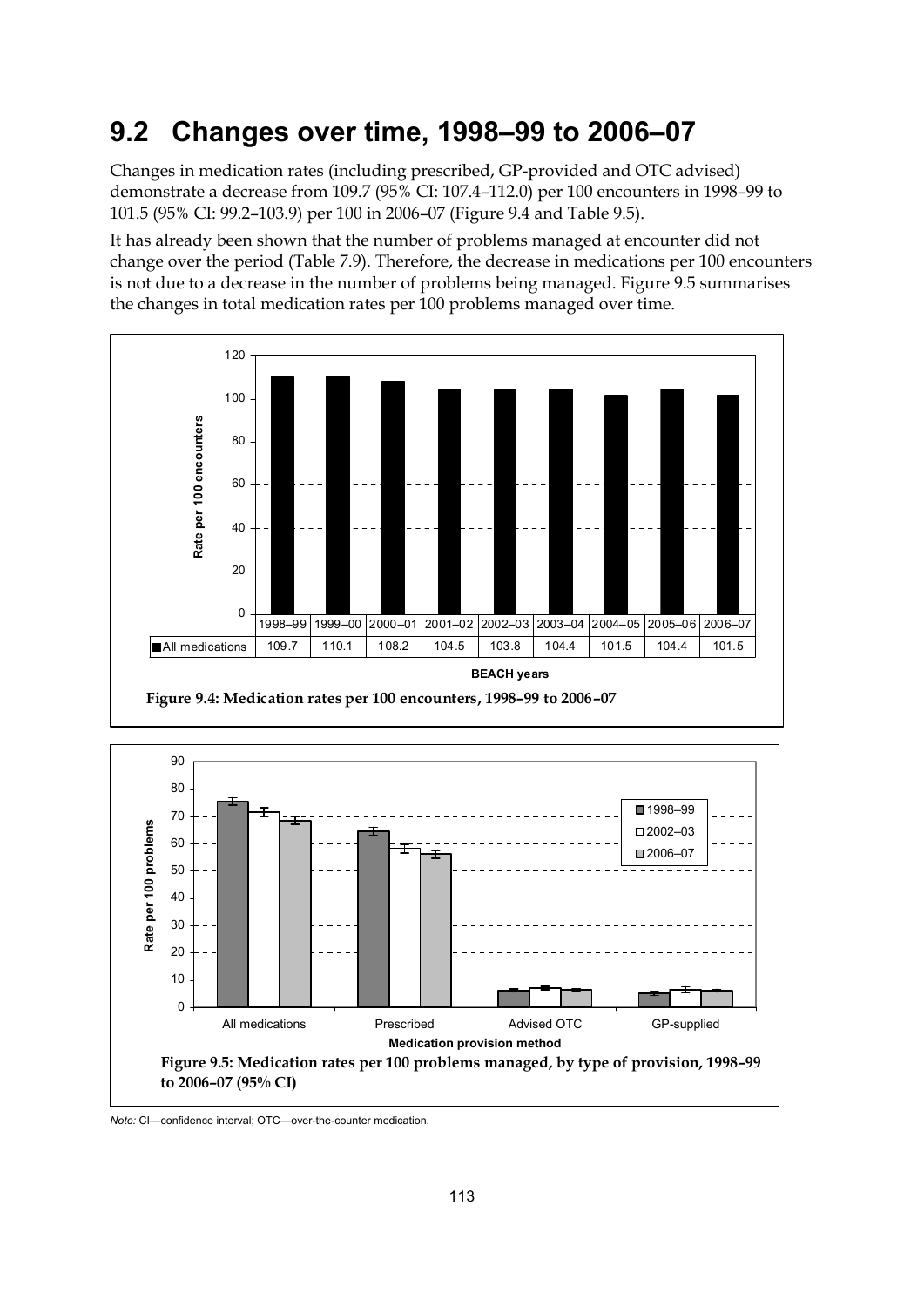# **9.2 Changes over time, 1998–99 to 2006–07**

Changes in medication rates (including prescribed, GP-provided and OTC advised) demonstrate a decrease from 109.7 (95% CI: 107.4–112.0) per 100 encounters in 1998–99 to 101.5 (95% CI: 99.2–103.9) per 100 in 2006–07 (Figure 9.4 and Table 9.5).

It has already been shown that the number of problems managed at encounter did not change over the period (Table 7.9). Therefore, the decrease in medications per 100 encounters is not due to a decrease in the number of problems being managed. Figure 9.5 summarises the changes in total medication rates per 100 problems managed over time.





*Note:* CI—confidence interval; OTC—over-the-counter medication.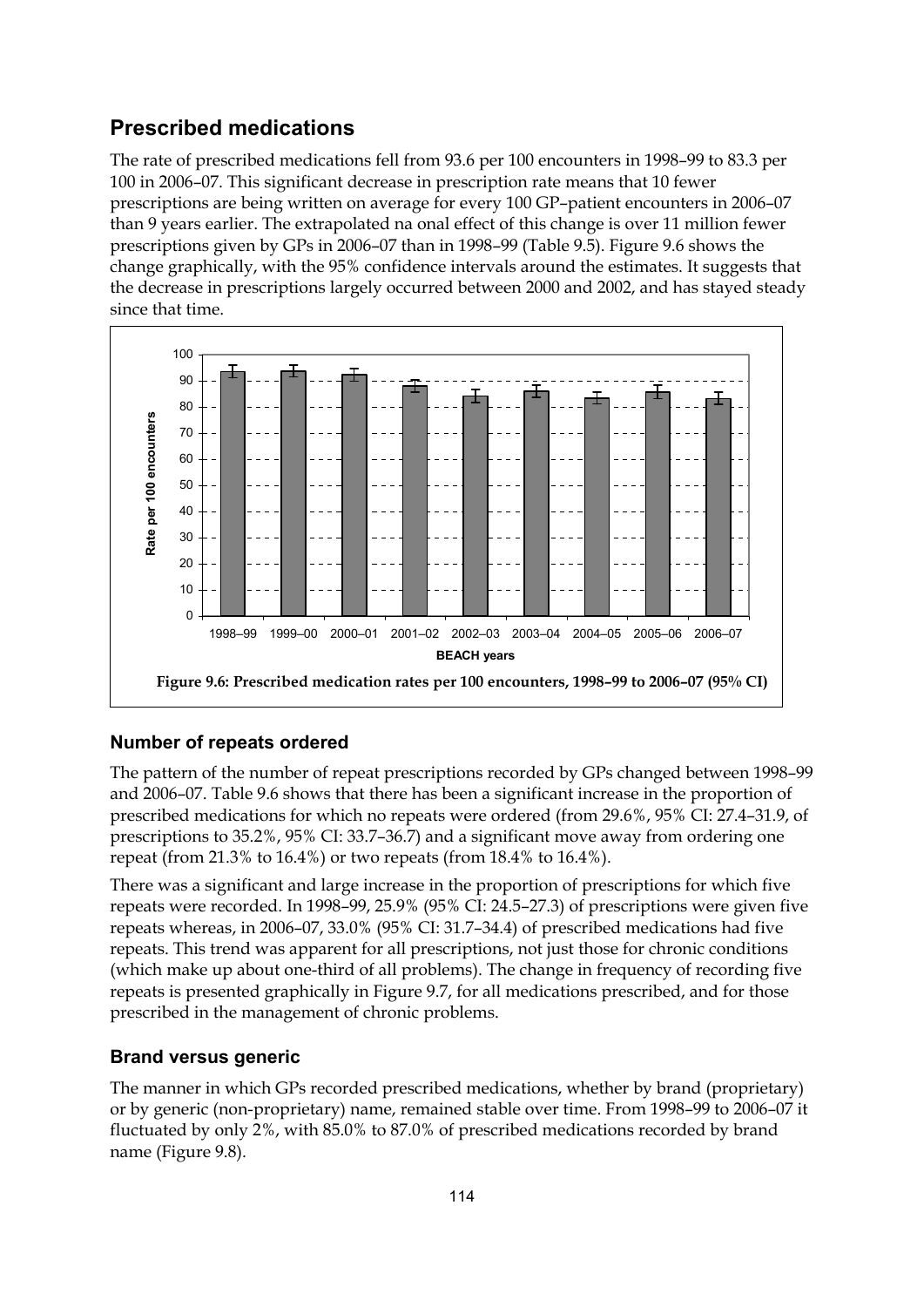# **Prescribed medications**

The rate of prescribed medications fell from 93.6 per 100 encounters in 1998–99 to 83.3 per 100 in 2006–07. This significant decrease in prescription rate means that 10 fewer prescriptions are being written on average for every 100 GP–patient encounters in 2006–07 than 9 years earlier. The extrapolated na onal effect of this change is over 11 million fewer prescriptions given by GPs in 2006–07 than in 1998–99 (Table 9.5). Figure 9.6 shows the change graphically, with the 95% confidence intervals around the estimates. It suggests that the decrease in prescriptions largely occurred between 2000 and 2002, and has stayed steady since that time.



## **Number of repeats ordered**

The pattern of the number of repeat prescriptions recorded by GPs changed between 1998–99 and 2006–07. Table 9.6 shows that there has been a significant increase in the proportion of prescribed medications for which no repeats were ordered (from 29.6%, 95% CI: 27.4–31.9, of prescriptions to 35.2%, 95% CI: 33.7–36.7) and a significant move away from ordering one repeat (from 21.3% to 16.4%) or two repeats (from 18.4% to 16.4%).

There was a significant and large increase in the proportion of prescriptions for which five repeats were recorded. In 1998–99, 25.9% (95% CI: 24.5–27.3) of prescriptions were given five repeats whereas, in 2006–07, 33.0% (95% CI: 31.7–34.4) of prescribed medications had five repeats. This trend was apparent for all prescriptions, not just those for chronic conditions (which make up about one-third of all problems). The change in frequency of recording five repeats is presented graphically in Figure 9.7, for all medications prescribed, and for those prescribed in the management of chronic problems.

#### **Brand versus generic**

The manner in which GPs recorded prescribed medications, whether by brand (proprietary) or by generic (non-proprietary) name, remained stable over time. From 1998–99 to 2006–07 it fluctuated by only 2%, with 85.0% to 87.0% of prescribed medications recorded by brand name (Figure 9.8).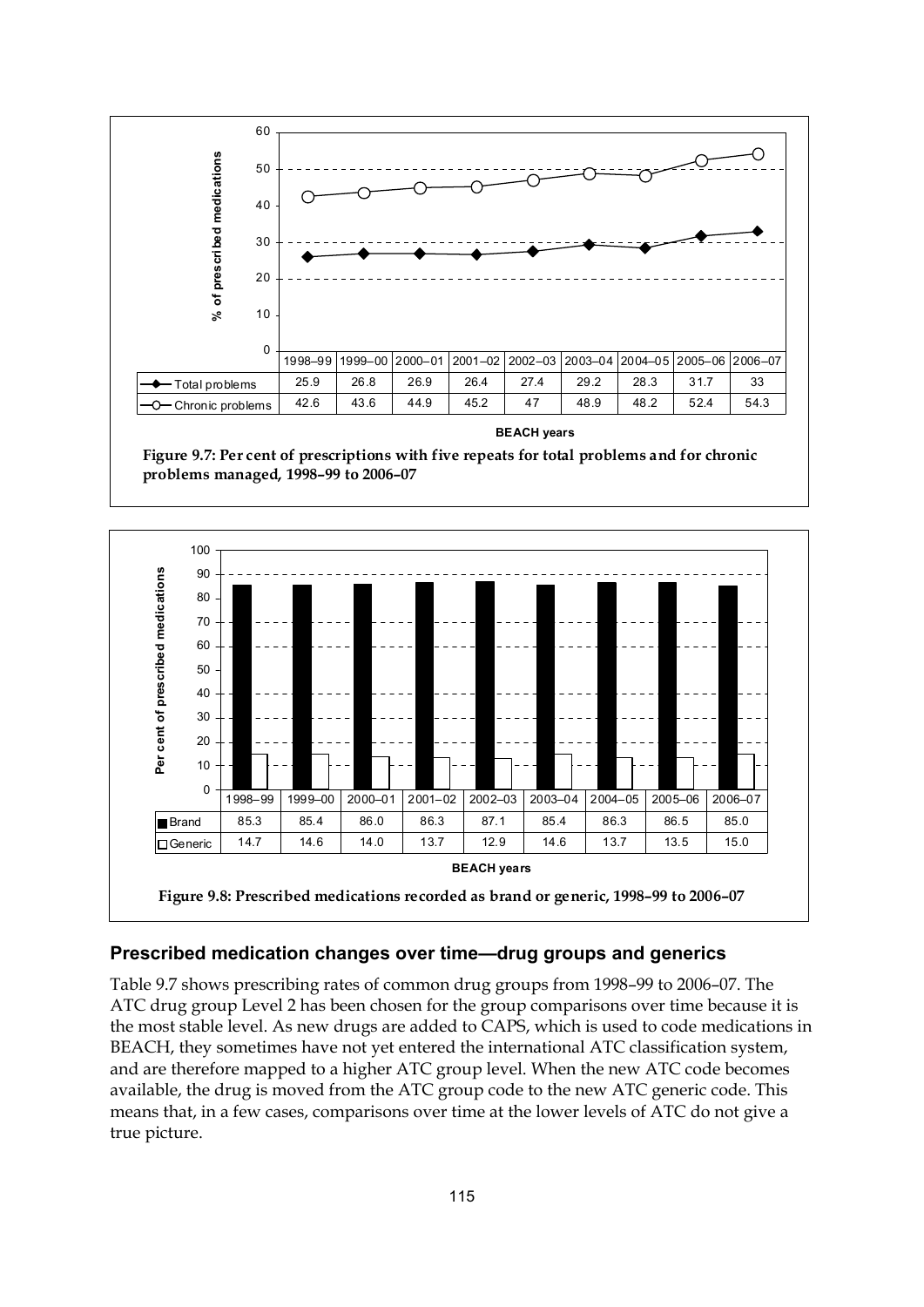

**BEACH years**

**Figure 9.7: Per cent of prescriptions with five repeats for total problems and for chronic problems managed, 1998–99 to 2006–07**



#### **Prescribed medication changes over time—drug groups and generics**

Table 9.7 shows prescribing rates of common drug groups from 1998–99 to 2006–07. The ATC drug group Level 2 has been chosen for the group comparisons over time because it is the most stable level. As new drugs are added to CAPS, which is used to code medications in BEACH, they sometimes have not yet entered the international ATC classification system, and are therefore mapped to a higher ATC group level. When the new ATC code becomes available, the drug is moved from the ATC group code to the new ATC generic code. This means that, in a few cases, comparisons over time at the lower levels of ATC do not give a true picture.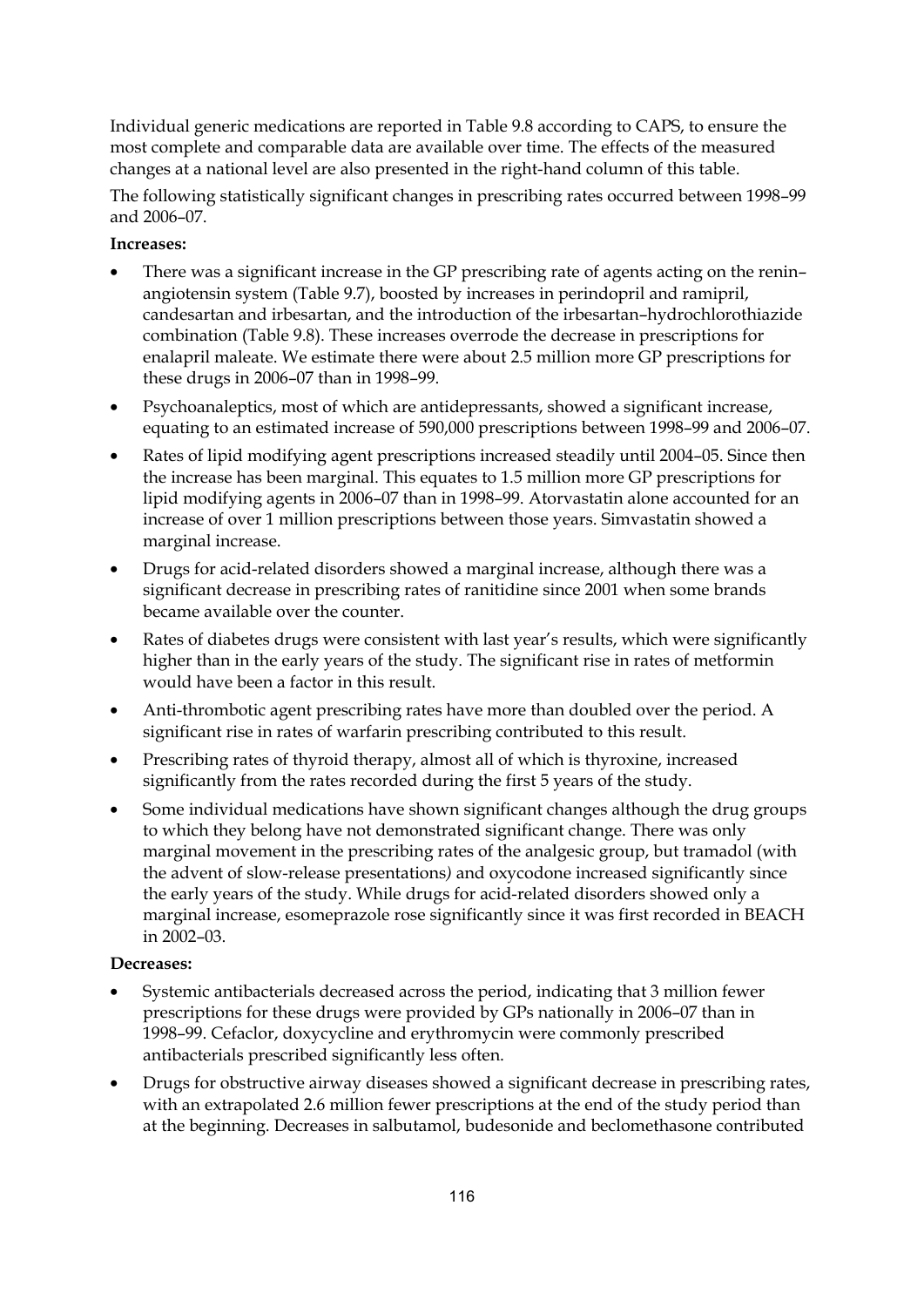Individual generic medications are reported in Table 9.8 according to CAPS, to ensure the most complete and comparable data are available over time. The effects of the measured changes at a national level are also presented in the right-hand column of this table.

The following statistically significant changes in prescribing rates occurred between 1998–99 and 2006–07.

#### **Increases:**

- There was a significant increase in the GP prescribing rate of agents acting on the renin– angiotensin system (Table 9.7), boosted by increases in perindopril and ramipril, candesartan and irbesartan, and the introduction of the irbesartan–hydrochlorothiazide combination (Table 9.8). These increases overrode the decrease in prescriptions for enalapril maleate. We estimate there were about 2.5 million more GP prescriptions for these drugs in 2006–07 than in 1998–99.
- Psychoanaleptics, most of which are antidepressants, showed a significant increase, equating to an estimated increase of 590,000 prescriptions between 1998–99 and 2006–07.
- Rates of lipid modifying agent prescriptions increased steadily until 2004–05. Since then the increase has been marginal. This equates to 1.5 million more GP prescriptions for lipid modifying agents in 2006–07 than in 1998–99. Atorvastatin alone accounted for an increase of over 1 million prescriptions between those years. Simvastatin showed a marginal increase.
- Drugs for acid-related disorders showed a marginal increase, although there was a significant decrease in prescribing rates of ranitidine since 2001 when some brands became available over the counter.
- Rates of diabetes drugs were consistent with last year's results, which were significantly higher than in the early years of the study. The significant rise in rates of metformin would have been a factor in this result.
- Anti-thrombotic agent prescribing rates have more than doubled over the period. A significant rise in rates of warfarin prescribing contributed to this result.
- Prescribing rates of thyroid therapy, almost all of which is thyroxine, increased significantly from the rates recorded during the first 5 years of the study.
- Some individual medications have shown significant changes although the drug groups to which they belong have not demonstrated significant change. There was only marginal movement in the prescribing rates of the analgesic group, but tramadol (with the advent of slow-release presentations*)* and oxycodone increased significantly since the early years of the study. While drugs for acid-related disorders showed only a marginal increase, esomeprazole rose significantly since it was first recorded in BEACH in 2002–03.

#### **Decreases:**

- Systemic antibacterials decreased across the period, indicating that 3 million fewer prescriptions for these drugs were provided by GPs nationally in 2006–07 than in 1998–99. Cefaclor, doxycycline and erythromycin were commonly prescribed antibacterials prescribed significantly less often.
- Drugs for obstructive airway diseases showed a significant decrease in prescribing rates, with an extrapolated 2.6 million fewer prescriptions at the end of the study period than at the beginning. Decreases in salbutamol, budesonide and beclomethasone contributed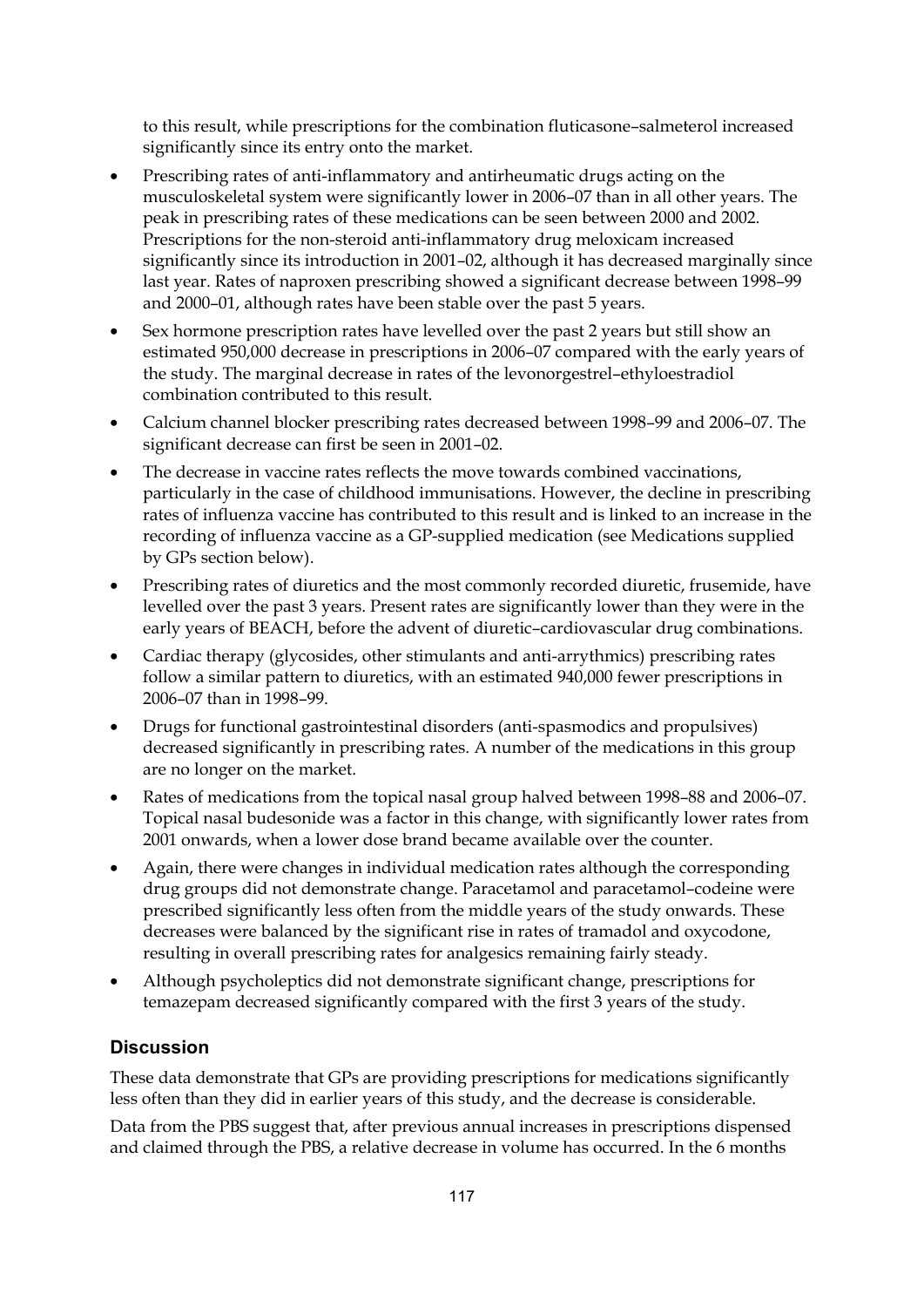to this result, while prescriptions for the combination fluticasone–salmeterol increased significantly since its entry onto the market.

- Prescribing rates of anti-inflammatory and antirheumatic drugs acting on the musculoskeletal system were significantly lower in 2006–07 than in all other years. The peak in prescribing rates of these medications can be seen between 2000 and 2002. Prescriptions for the non-steroid anti-inflammatory drug meloxicam increased significantly since its introduction in 2001–02, although it has decreased marginally since last year. Rates of naproxen prescribing showed a significant decrease between 1998–99 and 2000–01, although rates have been stable over the past 5 years.
- Sex hormone prescription rates have levelled over the past 2 years but still show an estimated 950,000 decrease in prescriptions in 2006–07 compared with the early years of the study. The marginal decrease in rates of the levonorgestrel–ethyloestradiol combination contributed to this result.
- Calcium channel blocker prescribing rates decreased between 1998–99 and 2006–07. The significant decrease can first be seen in 2001–02.
- The decrease in vaccine rates reflects the move towards combined vaccinations, particularly in the case of childhood immunisations. However, the decline in prescribing rates of influenza vaccine has contributed to this result and is linked to an increase in the recording of influenza vaccine as a GP-supplied medication (see Medications supplied by GPs section below).
- Prescribing rates of diuretics and the most commonly recorded diuretic, frusemide, have levelled over the past 3 years. Present rates are significantly lower than they were in the early years of BEACH, before the advent of diuretic–cardiovascular drug combinations.
- Cardiac therapy (glycosides, other stimulants and anti-arrythmics) prescribing rates follow a similar pattern to diuretics, with an estimated 940,000 fewer prescriptions in 2006–07 than in 1998–99.
- Drugs for functional gastrointestinal disorders (anti-spasmodics and propulsives) decreased significantly in prescribing rates. A number of the medications in this group are no longer on the market.
- Rates of medications from the topical nasal group halved between 1998–88 and 2006–07. Topical nasal budesonide was a factor in this change, with significantly lower rates from 2001 onwards, when a lower dose brand became available over the counter.
- Again, there were changes in individual medication rates although the corresponding drug groups did not demonstrate change. Paracetamol and paracetamol–codeine were prescribed significantly less often from the middle years of the study onwards. These decreases were balanced by the significant rise in rates of tramadol and oxycodone, resulting in overall prescribing rates for analgesics remaining fairly steady.
- Although psycholeptics did not demonstrate significant change, prescriptions for temazepam decreased significantly compared with the first 3 years of the study.

#### **Discussion**

These data demonstrate that GPs are providing prescriptions for medications significantly less often than they did in earlier years of this study, and the decrease is considerable.

Data from the PBS suggest that, after previous annual increases in prescriptions dispensed and claimed through the PBS, a relative decrease in volume has occurred. In the 6 months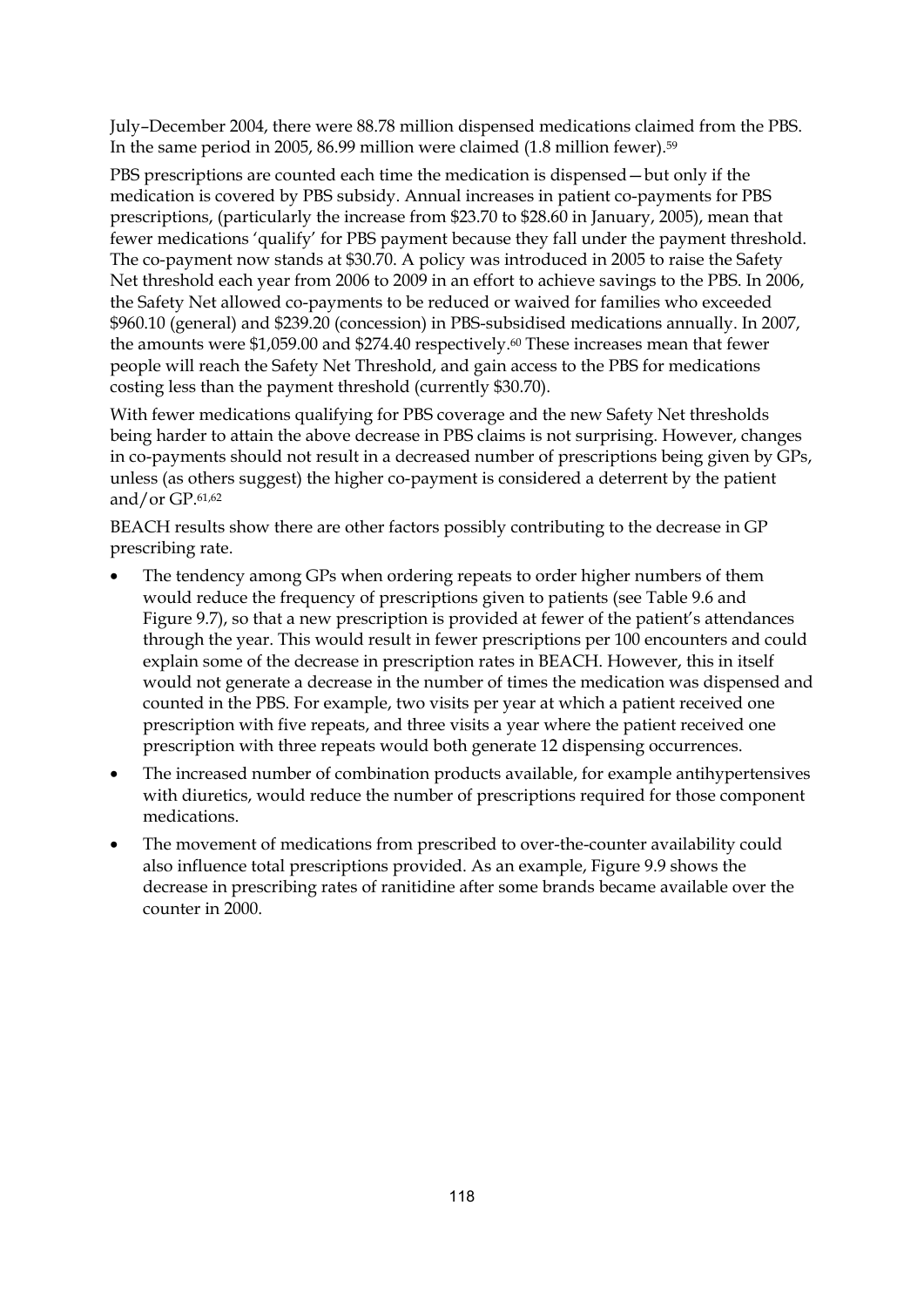July–December 2004, there were 88.78 million dispensed medications claimed from the PBS. In the same period in 2005, 86.99 million were claimed (1.8 million fewer).59

PBS prescriptions are counted each time the medication is dispensed—but only if the medication is covered by PBS subsidy. Annual increases in patient co-payments for PBS prescriptions, (particularly the increase from \$23.70 to \$28.60 in January, 2005), mean that fewer medications 'qualify' for PBS payment because they fall under the payment threshold. The co-payment now stands at \$30.70. A policy was introduced in 2005 to raise the Safety Net threshold each year from 2006 to 2009 in an effort to achieve savings to the PBS. In 2006, the Safety Net allowed co-payments to be reduced or waived for families who exceeded \$960.10 (general) and \$239.20 (concession) in PBS-subsidised medications annually. In 2007, the amounts were \$1,059.00 and \$274.40 respectively.60 These increases mean that fewer people will reach the Safety Net Threshold, and gain access to the PBS for medications costing less than the payment threshold (currently \$30.70).

With fewer medications qualifying for PBS coverage and the new Safety Net thresholds being harder to attain the above decrease in PBS claims is not surprising. However, changes in co-payments should not result in a decreased number of prescriptions being given by GPs, unless (as others suggest) the higher co-payment is considered a deterrent by the patient and/or GP.61,62

BEACH results show there are other factors possibly contributing to the decrease in GP prescribing rate.

- The tendency among GPs when ordering repeats to order higher numbers of them would reduce the frequency of prescriptions given to patients (see Table 9.6 and Figure 9.7), so that a new prescription is provided at fewer of the patient's attendances through the year. This would result in fewer prescriptions per 100 encounters and could explain some of the decrease in prescription rates in BEACH. However, this in itself would not generate a decrease in the number of times the medication was dispensed and counted in the PBS. For example, two visits per year at which a patient received one prescription with five repeats, and three visits a year where the patient received one prescription with three repeats would both generate 12 dispensing occurrences.
- The increased number of combination products available, for example antihypertensives with diuretics, would reduce the number of prescriptions required for those component medications.
- The movement of medications from prescribed to over-the-counter availability could also influence total prescriptions provided. As an example, Figure 9.9 shows the decrease in prescribing rates of ranitidine after some brands became available over the counter in 2000.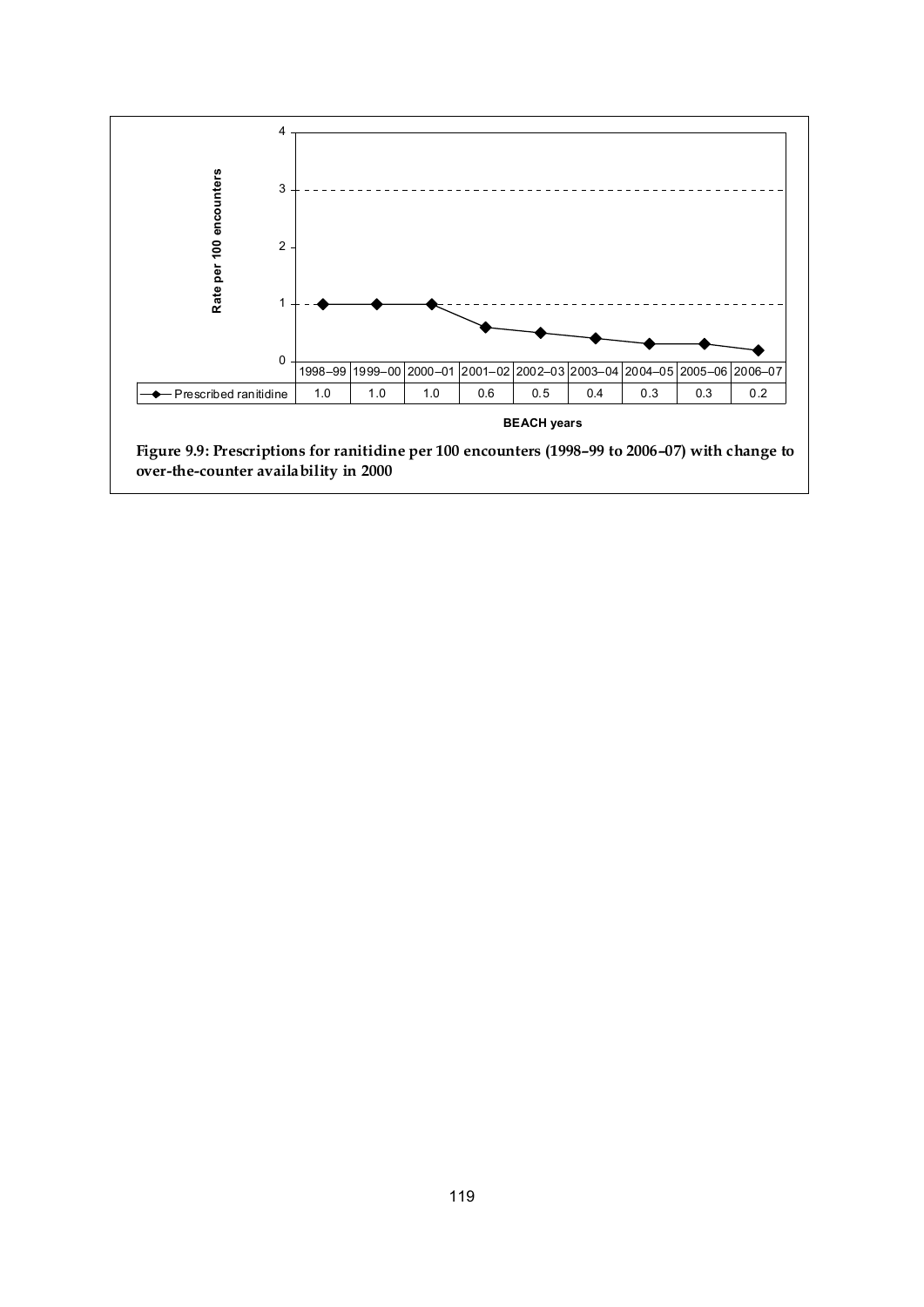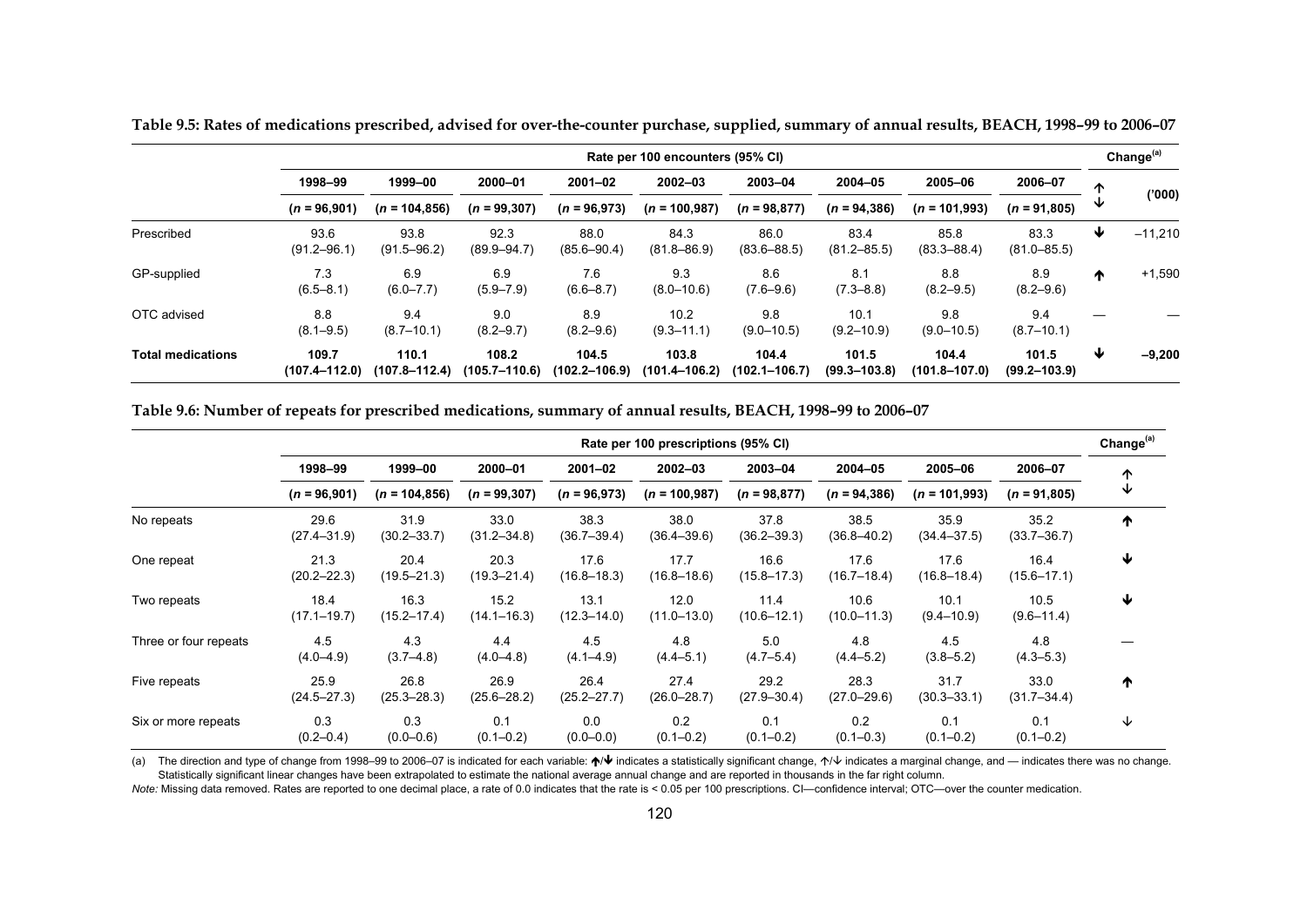|                          | Rate per 100 encounters (95% CI) |                            |                            |                            |                         |                            |                           |                            |                           |   | Change <sup>(a)</sup> |
|--------------------------|----------------------------------|----------------------------|----------------------------|----------------------------|-------------------------|----------------------------|---------------------------|----------------------------|---------------------------|---|-----------------------|
|                          | 1998-99                          | 1999-00                    | 2000-01                    | $2001 - 02$                | $2002 - 03$             | 2003-04                    | 2004-05                   | 2005-06                    | 2006-07                   | ∧ |                       |
|                          | $(n = 96,901)$                   | $(n = 104, 856)$           | $(n = 99, 307)$            | $(n = 96,973)$             | $(n = 100, 987)$        | $(n = 98, 877)$            | $(n = 94, 386)$           | $(n = 101,993)$            | $(n = 91,805)$            |   | (000)                 |
| Prescribed               | 93.6<br>$(91.2 - 96.1)$          | 93.8<br>$(91.5 - 96.2)$    | 92.3<br>$(89.9 - 94.7)$    | 88.0<br>$(85.6 - 90.4)$    | 84.3<br>$(81.8 - 86.9)$ | 86.0<br>$(83.6 - 88.5)$    | 83.4<br>$(81.2 - 85.5)$   | 85.8<br>$(83.3 - 88.4)$    | 83.3<br>$(81.0 - 85.5)$   | ₩ | $-11,210$             |
| GP-supplied              | 7.3<br>$(6.5 - 8.1)$             | 6.9<br>$(6.0 - 7.7)$       | 6.9<br>$(5.9 - 7.9)$       | 7.6<br>$(6.6 - 8.7)$       | 9.3<br>$(8.0 - 10.6)$   | 8.6<br>$(7.6 - 9.6)$       | 8.1<br>$(7.3 - 8.8)$      | 8.8<br>$(8.2 - 9.5)$       | 8.9<br>$(8.2 - 9.6)$      | ^ | $+1,590$              |
| OTC advised              | 8.8<br>$(8.1 - 9.5)$             | 9.4<br>$(8.7 - 10.1)$      | 9.0<br>$(8.2 - 9.7)$       | 8.9<br>$(8.2 - 9.6)$       | 10.2<br>$(9.3 - 11.1)$  | 9.8<br>$(9.0 - 10.5)$      | 10.1<br>$(9.2 - 10.9)$    | 9.8<br>$(9.0 - 10.5)$      | 9.4<br>$(8.7 - 10.1)$     |   |                       |
| <b>Total medications</b> | 109.7<br>$(107.4 - 112.0)$       | 110.1<br>$(107.8 - 112.4)$ | 108.2<br>$(105.7 - 110.6)$ | 104.5<br>$(102.2 - 106.9)$ | 103.8<br>(101.4–106.2)  | 104.4<br>$(102.1 - 106.7)$ | 101.5<br>$(99.3 - 103.8)$ | 104.4<br>$(101.8 - 107.0)$ | 101.5<br>$(99.2 - 103.9)$ | ₩ | $-9,200$              |

**Table 9.5: Rates of medications prescribed, advised for over-the-counter purchase, supplied, summary of annual results, BEACH, 1998–99 to 2006–07** 

**Table 9.6: Number of repeats for prescribed medications, summary of annual results, BEACH, 1998–99 to 2006–07** 

|                       | Rate per 100 prescriptions (95% CI) |                         |                         |                         |                         |                         |                         |                         |                         |   |
|-----------------------|-------------------------------------|-------------------------|-------------------------|-------------------------|-------------------------|-------------------------|-------------------------|-------------------------|-------------------------|---|
|                       | 1998-99                             | 1999-00                 | 2000-01                 | $2001 - 02$             | 2002-03                 | 2003-04                 | 2004-05                 | 2005-06                 | 2006-07                 | ↑ |
|                       | $(n = 96,901)$                      | $(n = 104, 856)$        | $(n = 99, 307)$         | $(n = 96,973)$          | $(n = 100, 987)$        | $(n = 98, 877)$         | $(n = 94, 386)$         | $(n = 101,993)$         | $(n = 91,805)$          | ↓ |
| No repeats            | 29.6<br>$(27.4 - 31.9)$             | 31.9<br>$(30.2 - 33.7)$ | 33.0<br>$(31.2 - 34.8)$ | 38.3<br>$(36.7 - 39.4)$ | 38.0<br>$(36.4 - 39.6)$ | 37.8<br>$(36.2 - 39.3)$ | 38.5<br>$(36.8 - 40.2)$ | 35.9<br>$(34.4 - 37.5)$ | 35.2<br>$(33.7 - 36.7)$ | ↑ |
| One repeat            | 21.3<br>$(20.2 - 22.3)$             | 20.4<br>$(19.5 - 21.3)$ | 20.3<br>$(19.3 - 21.4)$ | 17.6<br>$(16.8 - 18.3)$ | 17.7<br>$(16.8 - 18.6)$ | 16.6<br>$(15.8 - 17.3)$ | 17.6<br>$(16.7 - 18.4)$ | 17.6<br>$(16.8 - 18.4)$ | 16.4<br>$(15.6 - 17.1)$ | ↓ |
| Two repeats           | 18.4<br>$(17.1 - 19.7)$             | 16.3<br>$(15.2 - 17.4)$ | 15.2<br>$(14.1 - 16.3)$ | 13.1<br>$(12.3 - 14.0)$ | 12.0<br>$(11.0 - 13.0)$ | 11.4<br>$(10.6 - 12.1)$ | 10.6<br>$(10.0 - 11.3)$ | 10.1<br>$(9.4 - 10.9)$  | 10.5<br>$(9.6 - 11.4)$  | ↓ |
| Three or four repeats | 4.5<br>$(4.0 - 4.9)$                | 4.3<br>$(3.7 - 4.8)$    | 4.4<br>$(4.0 - 4.8)$    | 4.5<br>$(4.1 - 4.9)$    | 4.8<br>$(4.4 - 5.1)$    | 5.0<br>$(4.7 - 5.4)$    | 4.8<br>$(4.4 - 5.2)$    | 4.5<br>$(3.8 - 5.2)$    | 4.8<br>$(4.3 - 5.3)$    |   |
| Five repeats          | 25.9<br>$(24.5 - 27.3)$             | 26.8<br>$(25.3 - 28.3)$ | 26.9<br>$(25.6 - 28.2)$ | 26.4<br>$(25.2 - 27.7)$ | 27.4<br>$(26.0 - 28.7)$ | 29.2<br>$(27.9 - 30.4)$ | 28.3<br>$(27.0 - 29.6)$ | 31.7<br>$(30.3 - 33.1)$ | 33.0<br>$(31.7 - 34.4)$ | ↑ |
| Six or more repeats   | 0.3<br>$(0.2 - 0.4)$                | 0.3<br>$(0.0 - 0.6)$    | 0.1<br>$(0.1 - 0.2)$    | 0.0<br>$(0.0 - 0.0)$    | 0.2<br>$(0.1 - 0.2)$    | 0.1<br>$(0.1 - 0.2)$    | 0.2<br>$(0.1 - 0.3)$    | 0.1<br>$(0.1 - 0.2)$    | 0.1<br>$(0.1 - 0.2)$    | ↓ |

(a) The direction and type of change from 1998–99 to 2006–07 is indicated for each variable: ↑ Vindicates a statistically significant change, ↑ Vindicates a marginal change, and — indicates there was no change. Statistically significant linear changes have been extrapolated to estimate the national average annual change and are reported in thousands in the far right column.

*Note:* Missing data removed. Rates are reported to one decimal place, a rate of 0.0 indicates that the rate is < 0.05 per 100 prescriptions. CI—confidence interval; OTC—over the counter medication.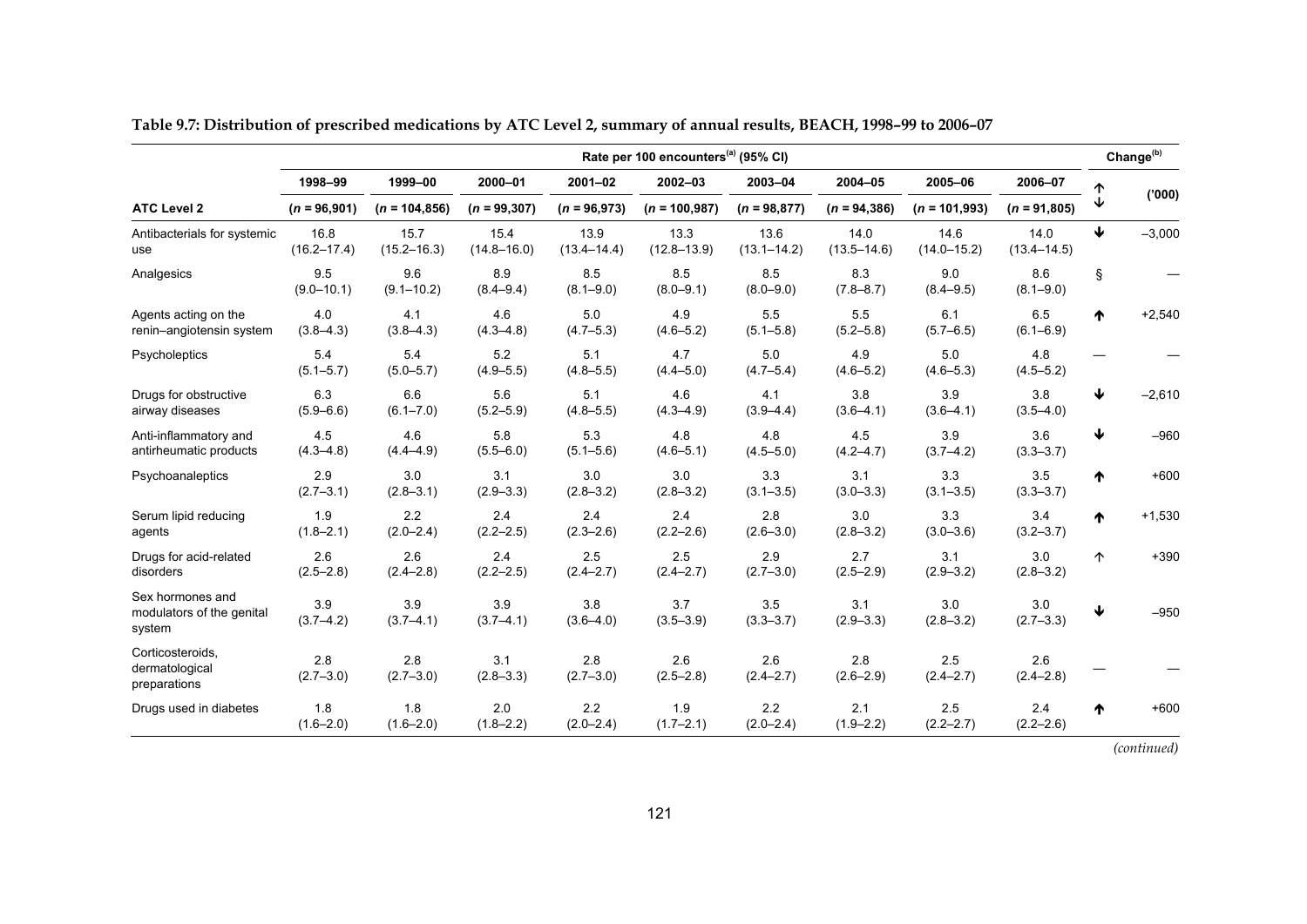|                                                         | Rate per 100 encounters <sup>(a)</sup> (95% CI) |                         |                         |                         |                         |                         |                          |                         |                         |   |          |
|---------------------------------------------------------|-------------------------------------------------|-------------------------|-------------------------|-------------------------|-------------------------|-------------------------|--------------------------|-------------------------|-------------------------|---|----------|
|                                                         | 1998-99                                         | 1999-00                 | 2000-01                 | $2001 - 02$             | 2002-03                 | 2003-04                 | 2004-05                  | 2005-06                 | 2006-07                 |   |          |
| <b>ATC Level 2</b>                                      | $(n = 96,901)$                                  | $(n = 104, 856)$        | $(n = 99, 307)$         | $(n = 96,973)$          | $(n = 100, 987)$        | $(n = 98, 877)$         | $(n = 94, 386)$          | $(n = 101,993)$         | $(n = 91,805)$          | ↓ | (000)'   |
| Antibacterials for systemic<br>use                      | 16.8<br>$(16.2 - 17.4)$                         | 15.7<br>$(15.2 - 16.3)$ | 15.4<br>$(14.8 - 16.0)$ | 13.9<br>$(13.4 - 14.4)$ | 13.3<br>$(12.8 - 13.9)$ | 13.6<br>$(13.1 - 14.2)$ | 14.0<br>$(13.5 - 14.6)$  | 14.6<br>$(14.0 - 15.2)$ | 14.0<br>$(13.4 - 14.5)$ | ₩ | $-3,000$ |
| Analgesics                                              | 9.5<br>$(9.0 - 10.1)$                           | 9.6<br>$(9.1 - 10.2)$   | 8.9<br>$(8.4 - 9.4)$    | 8.5<br>$(8.1 - 9.0)$    | 8.5<br>$(8.0 - 9.1)$    | 8.5<br>$(8.0 - 9.0)$    | 8.3<br>$(7.8 - 8.7)$     | 9.0<br>$(8.4 - 9.5)$    | 8.6<br>$(8.1 - 9.0)$    | ş |          |
| Agents acting on the<br>renin-angiotensin system        | 4.0<br>$(3.8 - 4.3)$                            | 4.1<br>$(3.8 - 4.3)$    | 4.6<br>$(4.3 - 4.8)$    | 5.0<br>$(4.7 - 5.3)$    | 4.9<br>$(4.6 - 5.2)$    | 5.5<br>$(5.1 - 5.8)$    | 5.5<br>$(5.2 - 5.8)$     | 6.1<br>$(5.7 - 6.5)$    | 6.5<br>$(6.1 - 6.9)$    | ♠ | $+2,540$ |
| Psycholeptics                                           | 5.4<br>$(5.1 - 5.7)$                            | 5.4<br>$(5.0 - 5.7)$    | 5.2<br>$(4.9 - 5.5)$    | 5.1<br>$(4.8 - 5.5)$    | 4.7<br>$(4.4 - 5.0)$    | 5.0<br>$(4.7 - 5.4)$    | 4.9<br>$(4.6 - 5.2)$     | 5.0<br>$(4.6 - 5.3)$    | 4.8<br>$(4.5 - 5.2)$    |   |          |
| Drugs for obstructive<br>airway diseases                | 6.3<br>$(5.9 - 6.6)$                            | 6.6<br>$(6.1 - 7.0)$    | 5.6<br>$(5.2 - 5.9)$    | 5.1<br>$(4.8 - 5.5)$    | 4.6<br>$(4.3 - 4.9)$    | 4.1<br>$(3.9 - 4.4)$    | 3.8<br>$(3.6 - 4.1)$     | 3.9<br>$(3.6 - 4.1)$    | 3.8<br>$(3.5 - 4.0)$    | ₩ | $-2,610$ |
| Anti-inflammatory and<br>antirheumatic products         | 45<br>$(4.3 - 4.8)$                             | 4.6<br>$(4.4 - 4.9)$    | 5.8<br>$(5.5 - 6.0)$    | 5.3<br>$(5.1 - 5.6)$    | 4.8<br>$(4.6 - 5.1)$    | 4.8<br>$(4.5 - 5.0)$    | 4.5<br>$(4.2 - 4.7)$     | 3.9<br>$(3.7 - 4.2)$    | 3.6<br>$(3.3 - 3.7)$    | ↓ | $-960$   |
| Psychoanaleptics                                        | 2.9<br>$(2.7 - 3.1)$                            | 3.0<br>$(2.8 - 3.1)$    | 3.1<br>$(2.9 - 3.3)$    | 3.0<br>$(2.8 - 3.2)$    | 3.0<br>$(2.8 - 3.2)$    | 3.3<br>$(3.1 - 3.5)$    | 3.1<br>$(3.0 - 3.3)$     | 3.3<br>$(3.1 - 3.5)$    | 3.5<br>$(3.3 - 3.7)$    | ᠰ | $+600$   |
| Serum lipid reducing<br>agents                          | 1.9<br>$(1.8 - 2.1)$                            | 2.2<br>$(2.0 - 2.4)$    | 2.4<br>$(2.2 - 2.5)$    | 2.4<br>$(2.3 - 2.6)$    | 2.4<br>$(2.2 - 2.6)$    | 2.8<br>$(2.6 - 3.0)$    | $3.0\,$<br>$(2.8 - 3.2)$ | 3.3<br>$(3.0 - 3.6)$    | 3.4<br>$(3.2 - 3.7)$    | ₼ | $+1,530$ |
| Drugs for acid-related<br>disorders                     | 2.6<br>$(2.5 - 2.8)$                            | 2.6<br>$(2.4 - 2.8)$    | 2.4<br>$(2.2 - 2.5)$    | 2.5<br>$(2.4 - 2.7)$    | 2.5<br>$(2.4 - 2.7)$    | 2.9<br>$(2.7 - 3.0)$    | 2.7<br>$(2.5 - 2.9)$     | 3.1<br>$(2.9 - 3.2)$    | 3.0<br>$(2.8 - 3.2)$    | ↑ | $+390$   |
| Sex hormones and<br>modulators of the genital<br>system | 3.9<br>$(3.7 - 4.2)$                            | 3.9<br>$(3.7 - 4.1)$    | 3.9<br>$(3.7 - 4.1)$    | 3.8<br>$(3.6 - 4.0)$    | 3.7<br>$(3.5 - 3.9)$    | 3.5<br>$(3.3 - 3.7)$    | 3.1<br>$(2.9 - 3.3)$     | 3.0<br>$(2.8 - 3.2)$    | 3.0<br>$(2.7 - 3.3)$    | ↓ | $-950$   |
| Corticosteroids,<br>dermatological<br>preparations      | 2.8<br>$(2.7 - 3.0)$                            | 2.8<br>$(2.7 - 3.0)$    | 3.1<br>$(2.8 - 3.3)$    | 2.8<br>$(2.7 - 3.0)$    | 2.6<br>$(2.5 - 2.8)$    | 2.6<br>$(2.4 - 2.7)$    | 2.8<br>$(2.6 - 2.9)$     | 2.5<br>$(2.4 - 2.7)$    | 2.6<br>$(2.4 - 2.8)$    |   |          |
| Drugs used in diabetes                                  | 1.8<br>$(1.6 - 2.0)$                            | 1.8<br>$(1.6 - 2.0)$    | 2.0<br>$(1.8 - 2.2)$    | 2.2<br>$(2.0 - 2.4)$    | 1.9<br>$(1.7 - 2.1)$    | 2.2<br>$(2.0 - 2.4)$    | 2.1<br>$(1.9 - 2.2)$     | 2.5<br>$(2.2 - 2.7)$    | 2.4<br>$(2.2 - 2.6)$    | ♠ | $+600$   |

**Table 9.7: Distribution of prescribed medications by ATC Level 2, summary of annual results, BEACH, 1998–99 to 2006–07**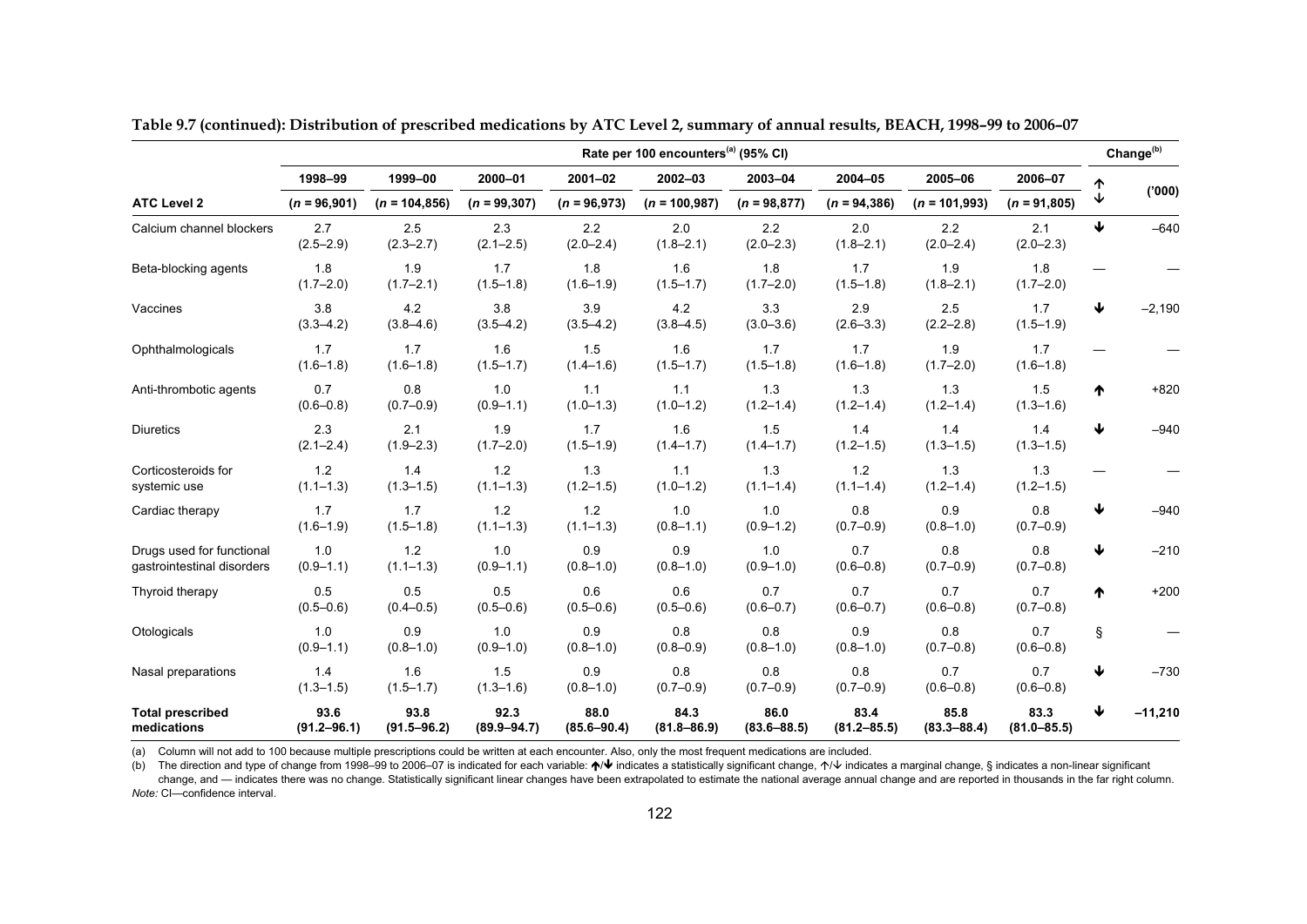| Rate per 100 encounters <sup>(a)</sup> (95% CI)         |                         |                         |                         |                         |                         |                         |                         |                         |                         | Change <sup>(b)</sup> |           |
|---------------------------------------------------------|-------------------------|-------------------------|-------------------------|-------------------------|-------------------------|-------------------------|-------------------------|-------------------------|-------------------------|-----------------------|-----------|
|                                                         | 1998-99                 | 1999-00                 | 2000-01                 | $2001 - 02$             | 2002-03                 | 2003-04                 | 2004-05                 | 2005-06                 | 2006-07                 | ኍ                     |           |
| <b>ATC Level 2</b>                                      | $(n = 96,901)$          | $(n = 104, 856)$        | $(n = 99, 307)$         | $(n = 96,973)$          | $(n = 100, 987)$        | $(n = 98, 877)$         | $(n = 94, 386)$         | $(n = 101,993)$         | $(n = 91,805)$          |                       | (000)'    |
| Calcium channel blockers                                | 2.7<br>$(2.5 - 2.9)$    | 2.5<br>$(2.3 - 2.7)$    | 2.3<br>$(2.1 - 2.5)$    | 2.2<br>$(2.0 - 2.4)$    | 2.0<br>$(1.8 - 2.1)$    | 2.2<br>$(2.0 - 2.3)$    | 2.0<br>$(1.8 - 2.1)$    | 2.2<br>$(2.0 - 2.4)$    | 2.1<br>$(2.0 - 2.3)$    | ↓                     | $-640$    |
| Beta-blocking agents                                    | 1.8<br>$(1.7 - 2.0)$    | 1.9<br>$(1.7 - 2.1)$    | 1.7<br>$(1.5 - 1.8)$    | 1.8<br>$(1.6 - 1.9)$    | 1.6<br>$(1.5 - 1.7)$    | 1.8<br>$(1.7 - 2.0)$    | 1.7<br>$(1.5 - 1.8)$    | 1.9<br>$(1.8 - 2.1)$    | 1.8<br>$(1.7 - 2.0)$    |                       |           |
| Vaccines                                                | 3.8<br>$(3.3 - 4.2)$    | 4.2<br>$(3.8 - 4.6)$    | 3.8<br>$(3.5 - 4.2)$    | 3.9<br>$(3.5 - 4.2)$    | 4.2<br>$(3.8 - 4.5)$    | 3.3<br>$(3.0 - 3.6)$    | 2.9<br>$(2.6 - 3.3)$    | 2.5<br>$(2.2 - 2.8)$    | 1.7<br>$(1.5 - 1.9)$    | ₩                     | $-2,190$  |
| Ophthalmologicals                                       | 1.7<br>$(1.6 - 1.8)$    | 1.7<br>$(1.6 - 1.8)$    | 1.6<br>$(1.5 - 1.7)$    | 1.5<br>$(1.4 - 1.6)$    | 1.6<br>$(1.5 - 1.7)$    | 1.7<br>$(1.5 - 1.8)$    | 1.7<br>$(1.6 - 1.8)$    | 1.9<br>$(1.7 - 2.0)$    | 1.7<br>$(1.6 - 1.8)$    |                       |           |
| Anti-thrombotic agents                                  | 0.7<br>$(0.6 - 0.8)$    | 0.8<br>$(0.7 - 0.9)$    | 1.0<br>$(0.9 - 1.1)$    | 1.1<br>$(1.0 - 1.3)$    | 1.1<br>$(1.0 - 1.2)$    | 1.3<br>$(1.2 - 1.4)$    | 1.3<br>$(1.2 - 1.4)$    | 1.3<br>$(1.2 - 1.4)$    | 1.5<br>$(1.3 - 1.6)$    | ᠰ                     | $+820$    |
| <b>Diuretics</b>                                        | 2.3<br>$(2.1 - 2.4)$    | 2.1<br>$(1.9 - 2.3)$    | 1.9<br>$(1.7 - 2.0)$    | 1.7<br>$(1.5 - 1.9)$    | 1.6<br>$(1.4 - 1.7)$    | 1.5<br>$(1.4 - 1.7)$    | 1.4<br>$(1.2 - 1.5)$    | 1.4<br>$(1.3 - 1.5)$    | 1.4<br>$(1.3 - 1.5)$    | ↓                     | $-940$    |
| Corticosteroids for<br>systemic use                     | 1.2<br>$(1.1 - 1.3)$    | 1.4<br>$(1.3 - 1.5)$    | 1.2<br>$(1.1 - 1.3)$    | 1.3<br>$(1.2 - 1.5)$    | 1.1<br>$(1.0 - 1.2)$    | 1.3<br>$(1.1 - 1.4)$    | 1.2<br>$(1.1 - 1.4)$    | 1.3<br>$(1.2 - 1.4)$    | 1.3<br>$(1.2 - 1.5)$    |                       |           |
| Cardiac therapy                                         | 1.7<br>$(1.6 - 1.9)$    | 1.7<br>$(1.5 - 1.8)$    | 1.2<br>$(1.1 - 1.3)$    | 1.2<br>$(1.1 - 1.3)$    | 1.0<br>$(0.8 - 1.1)$    | 1.0<br>$(0.9 - 1.2)$    | 0.8<br>$(0.7 - 0.9)$    | 0.9<br>$(0.8 - 1.0)$    | 0.8<br>$(0.7 - 0.9)$    | ↓                     | $-940$    |
| Drugs used for functional<br>gastrointestinal disorders | 1.0<br>$(0.9 - 1.1)$    | 1.2<br>$(1.1 - 1.3)$    | 1.0<br>$(0.9 - 1.1)$    | 0.9<br>$(0.8 - 1.0)$    | 0.9<br>$(0.8 - 1.0)$    | 1.0<br>$(0.9 - 1.0)$    | 0.7<br>$(0.6 - 0.8)$    | 0.8<br>$(0.7 - 0.9)$    | 0.8<br>$(0.7 - 0.8)$    | ↓                     | $-210$    |
| Thyroid therapy                                         | 0.5<br>$(0.5 - 0.6)$    | 0.5<br>$(0.4 - 0.5)$    | 0.5<br>$(0.5 - 0.6)$    | 0.6<br>$(0.5 - 0.6)$    | 0.6<br>$(0.5 - 0.6)$    | 0.7<br>$(0.6 - 0.7)$    | 0.7<br>$(0.6 - 0.7)$    | 0.7<br>$(0.6 - 0.8)$    | 0.7<br>$(0.7 - 0.8)$    | ♠                     | $+200$    |
| Otologicals                                             | 1.0<br>$(0.9 - 1.1)$    | 0.9<br>$(0.8 - 1.0)$    | 1.0<br>$(0.9 - 1.0)$    | 0.9<br>$(0.8 - 1.0)$    | 0.8<br>$(0.8 - 0.9)$    | 0.8<br>$(0.8 - 1.0)$    | 0.9<br>$(0.8 - 1.0)$    | 0.8<br>$(0.7 - 0.8)$    | 0.7<br>$(0.6 - 0.8)$    | Ş                     |           |
| Nasal preparations                                      | 1.4<br>$(1.3 - 1.5)$    | 1.6<br>$(1.5 - 1.7)$    | 1.5<br>$(1.3 - 1.6)$    | 0.9<br>$(0.8 - 1.0)$    | 0.8<br>$(0.7 - 0.9)$    | 0.8<br>$(0.7 - 0.9)$    | 0.8<br>$(0.7 - 0.9)$    | 0.7<br>$(0.6 - 0.8)$    | 0.7<br>$(0.6 - 0.8)$    | ↓                     | $-730$    |
| <b>Total prescribed</b><br>medications                  | 93.6<br>$(91.2 - 96.1)$ | 93.8<br>$(91.5 - 96.2)$ | 92.3<br>$(89.9 - 94.7)$ | 88.0<br>$(85.6 - 90.4)$ | 84.3<br>$(81.8 - 86.9)$ | 86.0<br>$(83.6 - 88.5)$ | 83.4<br>$(81.2 - 85.5)$ | 85.8<br>$(83.3 - 88.4)$ | 83.3<br>$(81.0 - 85.5)$ | ↓                     | $-11,210$ |

**Table 9.7 (continued): Distribution of prescribed medications by ATC Level 2, summary of annual results, BEACH, 1998–99 to 2006–07** 

(a) Column will not add to 100 because multiple prescriptions could be written at each encounter. Also, only the most frequent medications are included.

(b) The direction and type of change from 1998–99 to 2006–07 is indicated for each variable:  $\sqrt{V}$  indicates a statistically significant change,  $\gamma$  indicates a marginal change, § indicates a non-linear significant change, and — indicates there was no change. Statistically significant linear changes have been extrapolated to estimate the national average annual change and are reported in thousands in the far right column. *Note:* CI—confidence interval.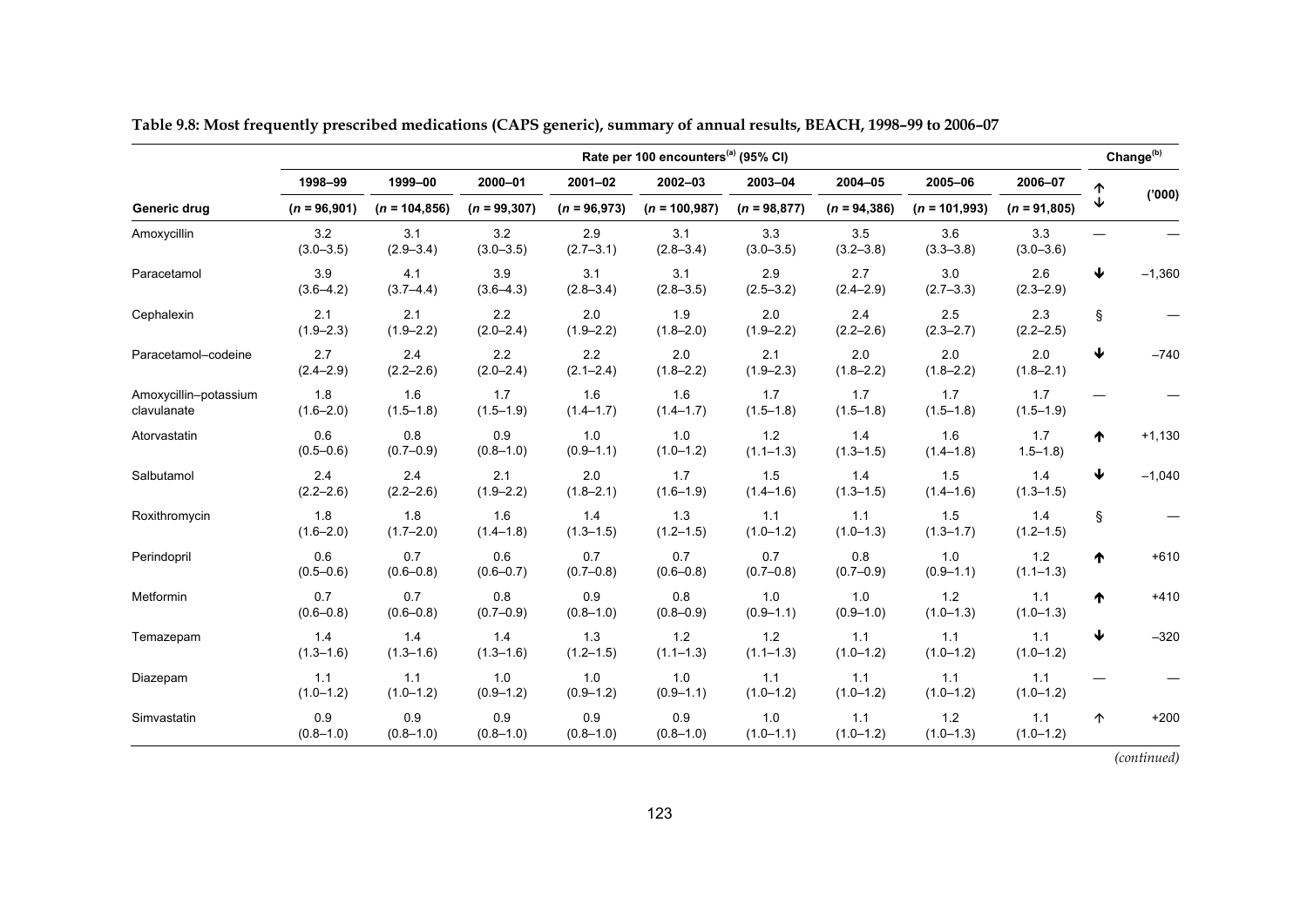| Rate per 100 encounters <sup>(a)</sup> (95% CI) |                      |                      |                      |                      |                      |                      |                      |                          |                      | Change <sup>(b)</sup> |          |
|-------------------------------------------------|----------------------|----------------------|----------------------|----------------------|----------------------|----------------------|----------------------|--------------------------|----------------------|-----------------------|----------|
|                                                 | 1998-99              | 1999-00              | 2000-01              | $2001 - 02$          | 2002-03              | 2003-04              | 2004-05              | 2005-06                  | 2006-07              |                       |          |
| Generic drug                                    | $(n = 96,901)$       | $(n = 104, 856)$     | $(n = 99, 307)$      | $(n = 96,973)$       | $(n = 100, 987)$     | $(n = 98,877)$       | $(n = 94, 386)$      | $(n = 101,993)$          | $(n = 91,805)$       |                       | (000)'   |
| Amoxycillin                                     | 3.2<br>$(3.0 - 3.5)$ | 3.1<br>$(2.9 - 3.4)$ | 3.2<br>$(3.0 - 3.5)$ | 2.9<br>$(2.7 - 3.1)$ | 3.1<br>$(2.8 - 3.4)$ | 3.3<br>$(3.0 - 3.5)$ | 3.5<br>$(3.2 - 3.8)$ | 3.6<br>$(3.3 - 3.8)$     | 3.3<br>$(3.0 - 3.6)$ |                       |          |
| Paracetamol                                     | 3.9<br>$(3.6 - 4.2)$ | 4.1<br>$(3.7 - 4.4)$ | 3.9<br>$(3.6 - 4.3)$ | 3.1<br>$(2.8 - 3.4)$ | 3.1<br>$(2.8 - 3.5)$ | 2.9<br>$(2.5 - 3.2)$ | 2.7<br>$(2.4 - 2.9)$ | 3.0<br>$(2.7 - 3.3)$     | 2.6<br>$(2.3 - 2.9)$ | ↓                     | $-1,360$ |
| Cephalexin                                      | 2.1<br>$(1.9 - 2.3)$ | 2.1<br>$(1.9 - 2.2)$ | 2.2<br>$(2.0 - 2.4)$ | 2.0<br>$(1.9 - 2.2)$ | 1.9<br>$(1.8 - 2.0)$ | 2.0<br>$(1.9 - 2.2)$ | 2.4<br>$(2.2 - 2.6)$ | $2.5\,$<br>$(2.3 - 2.7)$ | 2.3<br>$(2.2 - 2.5)$ | Ş                     |          |
| Paracetamol-codeine                             | 2.7<br>$(2.4 - 2.9)$ | 2.4<br>$(2.2 - 2.6)$ | 2.2<br>$(2.0 - 2.4)$ | 2.2<br>$(2.1 - 2.4)$ | 2.0<br>$(1.8 - 2.2)$ | 2.1<br>$(1.9 - 2.3)$ | 2.0<br>$(1.8 - 2.2)$ | 2.0<br>$(1.8 - 2.2)$     | 2.0<br>$(1.8 - 2.1)$ | ↓                     | $-740$   |
| Amoxycillin-potassium<br>clavulanate            | 1.8<br>$(1.6 - 2.0)$ | 1.6<br>$(1.5 - 1.8)$ | 1.7<br>$(1.5 - 1.9)$ | 1.6<br>$(1.4 - 1.7)$ | 1.6<br>$(1.4 - 1.7)$ | 1.7<br>$(1.5 - 1.8)$ | 1.7<br>$(1.5 - 1.8)$ | 1.7<br>$(1.5 - 1.8)$     | 1.7<br>$(1.5 - 1.9)$ |                       |          |
| Atorvastatin                                    | 0.6<br>$(0.5 - 0.6)$ | 0.8<br>$(0.7 - 0.9)$ | 0.9<br>$(0.8 - 1.0)$ | 1.0<br>$(0.9 - 1.1)$ | 1.0<br>$(1.0 - 1.2)$ | 1.2<br>$(1.1 - 1.3)$ | 1.4<br>$(1.3 - 1.5)$ | 1.6<br>$(1.4 - 1.8)$     | 1.7<br>$1.5 - 1.8$   | ₼                     | $+1,130$ |
| Salbutamol                                      | 2.4<br>$(2.2 - 2.6)$ | 2.4<br>$(2.2 - 2.6)$ | 2.1<br>$(1.9 - 2.2)$ | 2.0<br>$(1.8 - 2.1)$ | 1.7<br>$(1.6 - 1.9)$ | 1.5<br>$(1.4 - 1.6)$ | 1.4<br>$(1.3 - 1.5)$ | 1.5<br>$(1.4 - 1.6)$     | 1.4<br>$(1.3 - 1.5)$ | ↓                     | $-1,040$ |
| Roxithromycin                                   | 1.8<br>$(1.6 - 2.0)$ | 1.8<br>$(1.7 - 2.0)$ | 1.6<br>$(1.4 - 1.8)$ | 1.4<br>$(1.3 - 1.5)$ | 1.3<br>$(1.2 - 1.5)$ | 1.1<br>$(1.0 - 1.2)$ | 1.1<br>$(1.0 - 1.3)$ | 1.5<br>$(1.3 - 1.7)$     | 1.4<br>$(1.2 - 1.5)$ | Ş                     |          |
| Perindopril                                     | 0.6<br>$(0.5 - 0.6)$ | 0.7<br>$(0.6 - 0.8)$ | 0.6<br>$(0.6 - 0.7)$ | 0.7<br>$(0.7 - 0.8)$ | 0.7<br>$(0.6 - 0.8)$ | 0.7<br>$(0.7 - 0.8)$ | 0.8<br>$(0.7 - 0.9)$ | 1.0<br>$(0.9 - 1.1)$     | 1.2<br>$(1.1 - 1.3)$ | ᠰ                     | $+610$   |
| Metformin                                       | 0.7<br>$(0.6 - 0.8)$ | 0.7<br>$(0.6 - 0.8)$ | 0.8<br>$(0.7 - 0.9)$ | 0.9<br>$(0.8 - 1.0)$ | 0.8<br>$(0.8 - 0.9)$ | 1.0<br>$(0.9 - 1.1)$ | 1.0<br>$(0.9 - 1.0)$ | 1.2<br>$(1.0 - 1.3)$     | 1.1<br>$(1.0 - 1.3)$ | ₼                     | $+410$   |
| Temazepam                                       | 1.4<br>$(1.3 - 1.6)$ | 1.4<br>$(1.3 - 1.6)$ | 1.4<br>$(1.3 - 1.6)$ | 1.3<br>$(1.2 - 1.5)$ | 1.2<br>$(1.1 - 1.3)$ | 1.2<br>$(1.1 - 1.3)$ | 1.1<br>$(1.0 - 1.2)$ | 1.1<br>$(1.0 - 1.2)$     | 1.1<br>$(1.0 - 1.2)$ | ↓                     | $-320$   |
| Diazepam                                        | 1.1<br>$(1.0 - 1.2)$ | 1.1<br>$(1.0 - 1.2)$ | 1.0<br>$(0.9 - 1.2)$ | 1.0<br>$(0.9 - 1.2)$ | 1.0<br>$(0.9 - 1.1)$ | 1.1<br>$(1.0 - 1.2)$ | 1.1<br>$(1.0 - 1.2)$ | 1.1<br>$(1.0 - 1.2)$     | 1.1<br>$(1.0 - 1.2)$ |                       |          |
| Simvastatin                                     | 0.9<br>$(0.8 - 1.0)$ | 0.9<br>$(0.8 - 1.0)$ | 0.9<br>$(0.8 - 1.0)$ | 0.9<br>$(0.8 - 1.0)$ | 0.9<br>$(0.8 - 1.0)$ | 1.0<br>$(1.0 - 1.1)$ | 1.1<br>$(1.0 - 1.2)$ | 1.2<br>$(1.0 - 1.3)$     | 1.1<br>$(1.0 - 1.2)$ | $\uparrow$            | $+200$   |

**Table 9.8: Most frequently prescribed medications (CAPS generic), summary of annual results, BEACH, 1998–99 to 2006–07**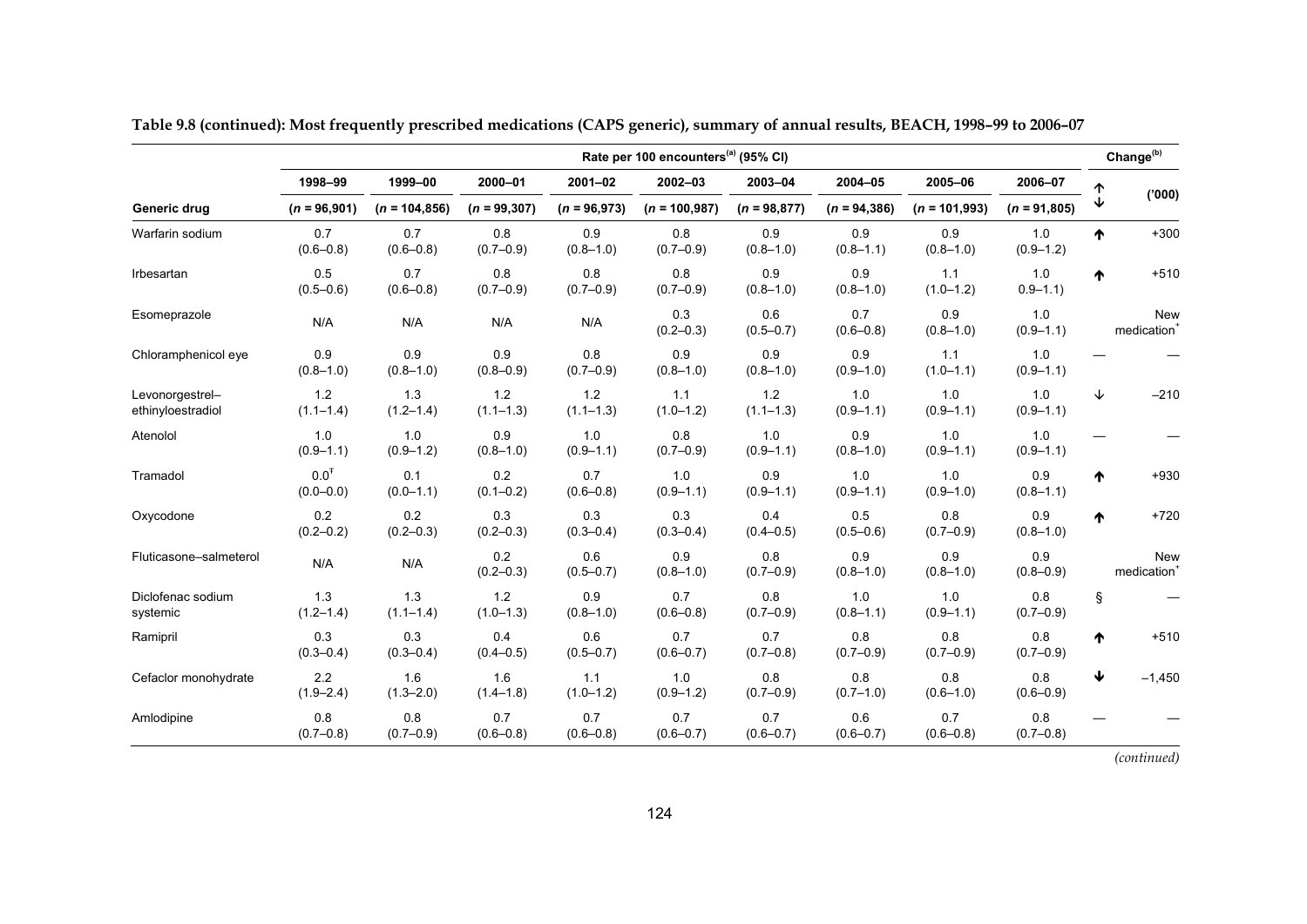|                                      | Rate per 100 encounters <sup>(a)</sup> (95% CI) |                      |                        |                        |                        |                        |                      |                        |                      |   | Change <sup>(b)</sup>                 |
|--------------------------------------|-------------------------------------------------|----------------------|------------------------|------------------------|------------------------|------------------------|----------------------|------------------------|----------------------|---|---------------------------------------|
|                                      | 1998-99                                         | 1999-00              | 2000-01                | $2001 - 02$            | 2002-03                | 2003-04                | 2004-05              | 2005-06                | 2006-07              |   |                                       |
| Generic drug                         | $(n = 96,901)$                                  | $(n = 104, 856)$     | $(n = 99, 307)$        | $(n = 96,973)$         | $(n = 100, 987)$       | $(n = 98, 877)$        | $(n = 94, 386)$      | $(n = 101,993)$        | $(n = 91,805)$       |   | (000)                                 |
| Warfarin sodium                      | 0.7<br>$(0.6 - 0.8)$                            | 0.7<br>$(0.6 - 0.8)$ | 0.8<br>$(0.7 - 0.9)$   | 0.9<br>$(0.8 - 1.0)$   | 0.8<br>$(0.7 - 0.9)$   | 0.9<br>$(0.8 - 1.0)$   | 0.9<br>$(0.8 - 1.1)$ | 0.9<br>$(0.8 - 1.0)$   | 1.0<br>$(0.9 - 1.2)$ | ᠰ | $+300$                                |
| Irbesartan                           | 0.5<br>$(0.5 - 0.6)$                            | 0.7<br>$(0.6 - 0.8)$ | 0.8<br>$(0.7 - 0.9)$   | 0.8<br>$(0.7 - 0.9)$   | 0.8<br>$(0.7 - 0.9)$   | 0.9<br>$(0.8 - 1.0)$   | 0.9<br>$(0.8 - 1.0)$ | 1.1<br>$(1.0 - 1.2)$   | 1.0<br>$0.9 - 1.1$   | ₼ | $+510$                                |
| Esomeprazole                         | N/A                                             | N/A                  | N/A                    | N/A                    | 0.3<br>$(0.2 - 0.3)$   | 0.6<br>$(0.5 - 0.7)$   | 0.7<br>$(0.6 - 0.8)$ | 0.9<br>$(0.8 - 1.0)$   | 1.0<br>$(0.9 - 1.1)$ |   | <b>New</b><br>medication <sup>+</sup> |
| Chloramphenicol eye                  | 0.9<br>$(0.8 - 1.0)$                            | 0.9<br>$(0.8 - 1.0)$ | 0.9<br>$(0.8 - 0.9)$   | 0.8<br>$(0.7 - 0.9)$   | 0.9<br>$(0.8 - 1.0)$   | 0.9<br>$(0.8 - 1.0)$   | 0.9<br>$(0.9 - 1.0)$ | 1.1<br>$(1.0 - 1.1)$   | 1.0<br>$(0.9 - 1.1)$ |   |                                       |
| Levonorgestrel-<br>ethinyloestradiol | $1.2$<br>$(1.1 - 1.4)$                          | 1.3<br>$(1.2 - 1.4)$ | $1.2$<br>$(1.1 - 1.3)$ | $1.2$<br>$(1.1 - 1.3)$ | 1.1<br>$(1.0 - 1.2)$   | $1.2$<br>$(1.1 - 1.3)$ | 1.0<br>$(0.9 - 1.1)$ | 1.0<br>$(0.9 - 1.1)$   | 1.0<br>$(0.9 - 1.1)$ | ↓ | $-210$                                |
| Atenolol                             | 1.0<br>$(0.9 - 1.1)$                            | 1.0<br>$(0.9 - 1.2)$ | 0.9<br>$(0.8 - 1.0)$   | 1.0<br>$(0.9 - 1.1)$   | 0.8<br>$(0.7 - 0.9)$   | 1.0<br>$(0.9 - 1.1)$   | 0.9<br>$(0.8 - 1.0)$ | 1.0<br>$(0.9 - 1.1)$   | 1.0<br>$(0.9 - 1.1)$ |   |                                       |
| Tramadol                             | 0.0 <sup>T</sup><br>$(0.0 - 0.0)$               | 0.1<br>$(0.0 - 1.1)$ | 0.2<br>$(0.1 - 0.2)$   | 0.7<br>$(0.6 - 0.8)$   | $1.0$<br>$(0.9 - 1.1)$ | 0.9<br>$(0.9 - 1.1)$   | 1.0<br>$(0.9 - 1.1)$ | $1.0$<br>$(0.9 - 1.0)$ | 0.9<br>$(0.8 - 1.1)$ | ᠰ | $+930$                                |
| Oxycodone                            | 0.2<br>$(0.2 - 0.2)$                            | 0.2<br>$(0.2 - 0.3)$ | 0.3<br>$(0.2 - 0.3)$   | 0.3<br>$(0.3 - 0.4)$   | 0.3<br>$(0.3 - 0.4)$   | 0.4<br>$(0.4 - 0.5)$   | 0.5<br>$(0.5 - 0.6)$ | 0.8<br>$(0.7 - 0.9)$   | 0.9<br>$(0.8 - 1.0)$ | ₼ | $+720$                                |
| Fluticasone-salmeterol               | N/A                                             | N/A                  | 0.2<br>$(0.2 - 0.3)$   | 0.6<br>$(0.5 - 0.7)$   | 0.9<br>$(0.8 - 1.0)$   | 0.8<br>$(0.7 - 0.9)$   | 0.9<br>$(0.8 - 1.0)$ | 0.9<br>$(0.8 - 1.0)$   | 0.9<br>$(0.8 - 0.9)$ |   | <b>New</b><br>medication <sup>+</sup> |
| Diclofenac sodium<br>systemic        | 1.3<br>$(1.2 - 1.4)$                            | 1.3<br>$(1.1 - 1.4)$ | 1.2<br>$(1.0 - 1.3)$   | 0.9<br>$(0.8 - 1.0)$   | 0.7<br>$(0.6 - 0.8)$   | 0.8<br>$(0.7 - 0.9)$   | 1.0<br>$(0.8 - 1.1)$ | 1.0<br>$(0.9 - 1.1)$   | 0.8<br>$(0.7 - 0.9)$ | ş |                                       |
| Ramipril                             | 0.3<br>$(0.3 - 0.4)$                            | 0.3<br>$(0.3 - 0.4)$ | 0.4<br>$(0.4 - 0.5)$   | 0.6<br>$(0.5 - 0.7)$   | 0.7<br>$(0.6 - 0.7)$   | 0.7<br>$(0.7 - 0.8)$   | 0.8<br>$(0.7 - 0.9)$ | 0.8<br>$(0.7 - 0.9)$   | 0.8<br>$(0.7 - 0.9)$ | ₼ | $+510$                                |
| Cefaclor monohydrate                 | 2.2<br>$(1.9 - 2.4)$                            | 1.6<br>$(1.3 - 2.0)$ | 1.6<br>$(1.4 - 1.8)$   | 1.1<br>$(1.0 - 1.2)$   | $1.0$<br>$(0.9 - 1.2)$ | 0.8<br>$(0.7 - 0.9)$   | 0.8<br>$(0.7 - 1.0)$ | 0.8<br>$(0.6 - 1.0)$   | 0.8<br>$(0.6 - 0.9)$ | ↓ | $-1,450$                              |
| Amlodipine                           | 0.8<br>$(0.7 - 0.8)$                            | 0.8<br>$(0.7 - 0.9)$ | 0.7<br>$(0.6 - 0.8)$   | 0.7<br>$(0.6 - 0.8)$   | 0.7<br>$(0.6 - 0.7)$   | 0.7<br>$(0.6 - 0.7)$   | 0.6<br>$(0.6 - 0.7)$ | 0.7<br>$(0.6 - 0.8)$   | 0.8<br>$(0.7 - 0.8)$ |   |                                       |

**Table 9.8 (continued): Most frequently prescribed medications (CAPS generic), summary of annual results, BEACH, 1998–99 to 2006–07**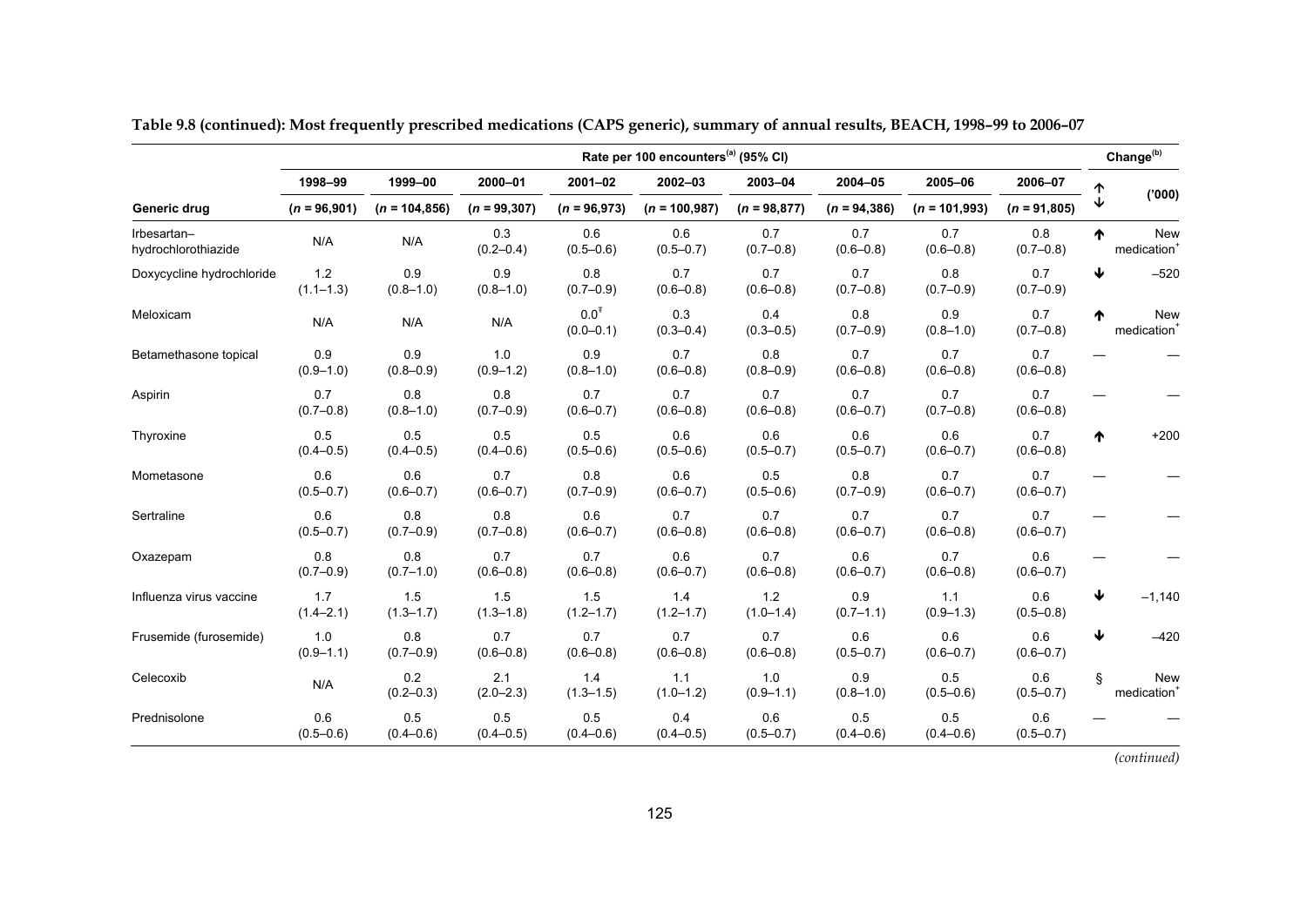|                                    | Rate per 100 encounters <sup>(a)</sup> (95% CI) |                      |                      |                                   |                      |                      |                      |                      |                      |    | Change <sup>(b)</sup>                 |
|------------------------------------|-------------------------------------------------|----------------------|----------------------|-----------------------------------|----------------------|----------------------|----------------------|----------------------|----------------------|----|---------------------------------------|
|                                    | 1998-99                                         | 1999-00              | 2000-01              | $2001 - 02$                       | 2002-03              | 2003-04              | 2004-05              | 2005-06              | 2006-07              |    |                                       |
| Generic drug                       | $(n = 96,901)$                                  | $(n = 104, 856)$     | $(n = 99, 307)$      | $(n = 96,973)$                    | $(n = 100, 987)$     | $(n = 98, 877)$      | $(n = 94, 386)$      | $(n = 101,993)$      | $(n = 91,805)$       |    | (000)                                 |
| Irbesartan-<br>hydrochlorothiazide | N/A                                             | N/A                  | 0.3<br>$(0.2 - 0.4)$ | 0.6<br>$(0.5 - 0.6)$              | 0.6<br>$(0.5 - 0.7)$ | 0.7<br>$(0.7 - 0.8)$ | 0.7<br>$(0.6 - 0.8)$ | 0.7<br>$(0.6 - 0.8)$ | 0.8<br>$(0.7 - 0.8)$ | ₼  | <b>New</b><br>medication <sup>+</sup> |
| Doxycycline hydrochloride          | $1.2$<br>$(1.1 - 1.3)$                          | 0.9<br>$(0.8 - 1.0)$ | 0.9<br>$(0.8 - 1.0)$ | 0.8<br>$(0.7 - 0.9)$              | 0.7<br>$(0.6 - 0.8)$ | 0.7<br>$(0.6 - 0.8)$ | 0.7<br>$(0.7 - 0.8)$ | 0.8<br>$(0.7 - 0.9)$ | 0.7<br>$(0.7 - 0.9)$ | ₩  | $-520$                                |
| Meloxicam                          | N/A                                             | N/A                  | N/A                  | 0.0 <sup>T</sup><br>$(0.0 - 0.1)$ | 0.3<br>$(0.3 - 0.4)$ | 0.4<br>$(0.3 - 0.5)$ | 0.8<br>$(0.7 - 0.9)$ | 0.9<br>$(0.8 - 1.0)$ | 0.7<br>$(0.7 - 0.8)$ | ₼  | <b>New</b><br>medication <sup>+</sup> |
| Betamethasone topical              | 0.9<br>$(0.9 - 1.0)$                            | 0.9<br>$(0.8 - 0.9)$ | 1.0<br>$(0.9 - 1.2)$ | 0.9<br>$(0.8 - 1.0)$              | 0.7<br>$(0.6 - 0.8)$ | 0.8<br>$(0.8 - 0.9)$ | 0.7<br>$(0.6 - 0.8)$ | 0.7<br>$(0.6 - 0.8)$ | 0.7<br>$(0.6 - 0.8)$ |    |                                       |
| Aspirin                            | 0.7<br>$(0.7 - 0.8)$                            | 0.8<br>$(0.8 - 1.0)$ | 0.8<br>$(0.7 - 0.9)$ | 0.7<br>$(0.6 - 0.7)$              | 0.7<br>$(0.6 - 0.8)$ | 0.7<br>$(0.6 - 0.8)$ | 0.7<br>$(0.6 - 0.7)$ | 0.7<br>$(0.7 - 0.8)$ | 0.7<br>$(0.6 - 0.8)$ |    |                                       |
| Thyroxine                          | 0.5<br>$(0.4 - 0.5)$                            | 0.5<br>$(0.4 - 0.5)$ | 0.5<br>$(0.4 - 0.6)$ | 0.5<br>$(0.5 - 0.6)$              | 0.6<br>$(0.5 - 0.6)$ | 0.6<br>$(0.5 - 0.7)$ | 0.6<br>$(0.5 - 0.7)$ | 0.6<br>$(0.6 - 0.7)$ | 0.7<br>$(0.6 - 0.8)$ | ♠  | $+200$                                |
| Mometasone                         | 0.6<br>$(0.5 - 0.7)$                            | 0.6<br>$(0.6 - 0.7)$ | 0.7<br>$(0.6 - 0.7)$ | 0.8<br>$(0.7 - 0.9)$              | 0.6<br>$(0.6 - 0.7)$ | 0.5<br>$(0.5 - 0.6)$ | 0.8<br>$(0.7 - 0.9)$ | 0.7<br>$(0.6 - 0.7)$ | 0.7<br>$(0.6 - 0.7)$ |    |                                       |
| Sertraline                         | 0.6<br>$(0.5 - 0.7)$                            | 0.8<br>$(0.7 - 0.9)$ | 0.8<br>$(0.7 - 0.8)$ | 0.6<br>$(0.6 - 0.7)$              | 0.7<br>$(0.6 - 0.8)$ | 0.7<br>$(0.6 - 0.8)$ | 0.7<br>$(0.6 - 0.7)$ | 0.7<br>$(0.6 - 0.8)$ | 0.7<br>$(0.6 - 0.7)$ |    |                                       |
| Oxazepam                           | 0.8<br>$(0.7 - 0.9)$                            | 0.8<br>$(0.7 - 1.0)$ | 0.7<br>$(0.6 - 0.8)$ | 0.7<br>$(0.6 - 0.8)$              | 0.6<br>$(0.6 - 0.7)$ | 0.7<br>$(0.6 - 0.8)$ | 0.6<br>$(0.6 - 0.7)$ | 0.7<br>$(0.6 - 0.8)$ | 0.6<br>$(0.6 - 0.7)$ |    |                                       |
| Influenza virus vaccine            | 1.7<br>$(1.4 - 2.1)$                            | 1.5<br>$(1.3 - 1.7)$ | 1.5<br>$(1.3 - 1.8)$ | 1.5<br>$(1.2 - 1.7)$              | 1.4<br>$(1.2 - 1.7)$ | 1.2<br>$(1.0 - 1.4)$ | 0.9<br>$(0.7 - 1.1)$ | 1.1<br>$(0.9 - 1.3)$ | 0.6<br>$(0.5 - 0.8)$ | ₩  | $-1,140$                              |
| Frusemide (furosemide)             | 1.0<br>$(0.9 - 1.1)$                            | 0.8<br>$(0.7 - 0.9)$ | 0.7<br>$(0.6 - 0.8)$ | 0.7<br>$(0.6 - 0.8)$              | 0.7<br>$(0.6 - 0.8)$ | 0.7<br>$(0.6 - 0.8)$ | 0.6<br>$(0.5 - 0.7)$ | 0.6<br>$(0.6 - 0.7)$ | 0.6<br>$(0.6 - 0.7)$ | ↓  | $-420$                                |
| Celecoxib                          | N/A                                             | 0.2<br>$(0.2 - 0.3)$ | 2.1<br>$(2.0 - 2.3)$ | 1.4<br>$(1.3 - 1.5)$              | 1.1<br>$(1.0 - 1.2)$ | 1.0<br>$(0.9 - 1.1)$ | 0.9<br>$(0.8 - 1.0)$ | 0.5<br>$(0.5 - 0.6)$ | 0.6<br>$(0.5 - 0.7)$ | §. | <b>New</b><br>medication <sup>+</sup> |
| Prednisolone                       | 0.6<br>$(0.5 - 0.6)$                            | 0.5<br>$(0.4 - 0.6)$ | 0.5<br>$(0.4 - 0.5)$ | 0.5<br>$(0.4 - 0.6)$              | 0.4<br>$(0.4 - 0.5)$ | 0.6<br>$(0.5 - 0.7)$ | 0.5<br>$(0.4 - 0.6)$ | 0.5<br>$(0.4 - 0.6)$ | 0.6<br>$(0.5 - 0.7)$ |    |                                       |

**Table 9.8 (continued): Most frequently prescribed medications (CAPS generic), summary of annual results, BEACH, 1998–99 to 2006–07**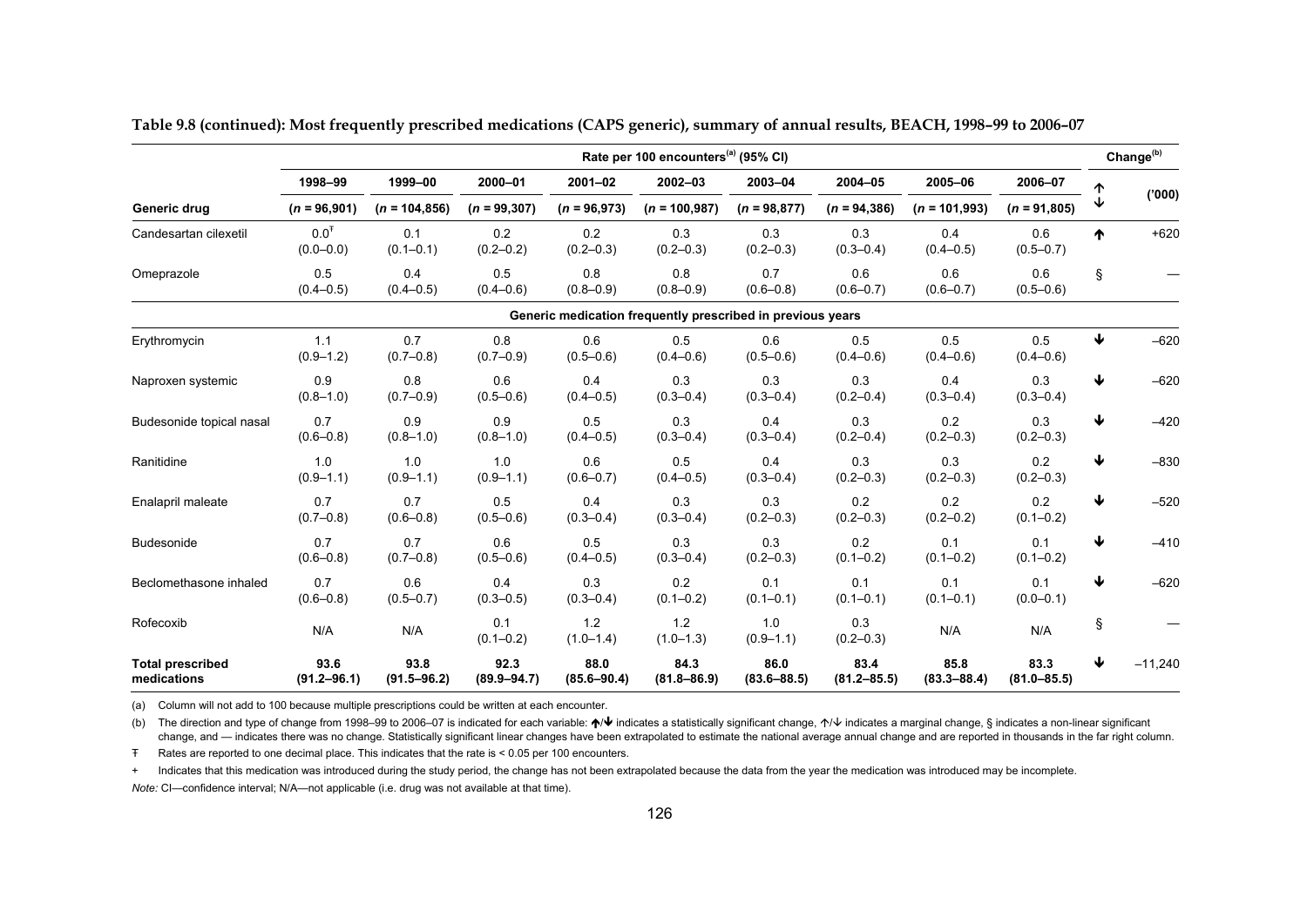| Rate per 100 encounters <sup>(a)</sup> (95% CI) |                                   |                         |                         |                               |                                                            |                         |                         |                         |                         |   | Change <sup>(b)</sup> |
|-------------------------------------------------|-----------------------------------|-------------------------|-------------------------|-------------------------------|------------------------------------------------------------|-------------------------|-------------------------|-------------------------|-------------------------|---|-----------------------|
|                                                 | 1998-99                           | 1999-00                 | 2000-01                 | $2001 - 02$<br>$(n = 96,973)$ | 2002-03                                                    | 2003-04                 | 2004-05                 | 2005-06                 | 2006-07                 |   |                       |
| Generic drug                                    | $(n = 96,901)$                    | $(n = 104, 856)$        | $(n = 99, 307)$         |                               | $(n = 100, 987)$                                           | $(n = 98, 877)$         | $(n = 94, 386)$         | $(n = 101,993)$         | $(n = 91,805)$          | ↓ | (000)                 |
| Candesartan cilexetil                           | 0.0 <sup>T</sup><br>$(0.0 - 0.0)$ | 0.1<br>$(0.1 - 0.1)$    | 0.2<br>$(0.2 - 0.2)$    | 0.2<br>$(0.2 - 0.3)$          | 0.3<br>$(0.2 - 0.3)$                                       | 0.3<br>$(0.2 - 0.3)$    | 0.3<br>$(0.3 - 0.4)$    | 0.4<br>$(0.4 - 0.5)$    | 0.6<br>$(0.5 - 0.7)$    | ᠰ | $+620$                |
| Omeprazole                                      | 0.5<br>$(0.4 - 0.5)$              | 0.4<br>$(0.4 - 0.5)$    | 0.5<br>$(0.4 - 0.6)$    | 0.8<br>$(0.8 - 0.9)$          | 0.8<br>$(0.8 - 0.9)$                                       | 0.7<br>$(0.6 - 0.8)$    | 0.6<br>$(0.6 - 0.7)$    | 0.6<br>$(0.6 - 0.7)$    | 0.6<br>$(0.5 - 0.6)$    | ş |                       |
|                                                 |                                   |                         |                         |                               | Generic medication frequently prescribed in previous years |                         |                         |                         |                         |   |                       |
| Erythromycin                                    | 1.1<br>$(0.9 - 1.2)$              | 0.7<br>$(0.7 - 0.8)$    | 0.8<br>$(0.7 - 0.9)$    | 0.6<br>$(0.5 - 0.6)$          | 0.5<br>$(0.4 - 0.6)$                                       | 0.6<br>$(0.5 - 0.6)$    | 0.5<br>$(0.4 - 0.6)$    | 0.5<br>$(0.4 - 0.6)$    | 0.5<br>$(0.4 - 0.6)$    | ↓ | $-620$                |
| Naproxen systemic                               | 0.9<br>$(0.8 - 1.0)$              | 0.8<br>$(0.7 - 0.9)$    | 0.6<br>$(0.5 - 0.6)$    | 0.4<br>$(0.4 - 0.5)$          | 0.3<br>$(0.3 - 0.4)$                                       | 0.3<br>$(0.3 - 0.4)$    | 0.3<br>$(0.2 - 0.4)$    | 0.4<br>$(0.3 - 0.4)$    | 0.3<br>$(0.3 - 0.4)$    | ₩ | $-620$                |
| Budesonide topical nasal                        | 0.7<br>$(0.6 - 0.8)$              | 0.9<br>$(0.8 - 1.0)$    | 0.9<br>$(0.8 - 1.0)$    | 0.5<br>$(0.4 - 0.5)$          | 0.3<br>$(0.3 - 0.4)$                                       | 0.4<br>$(0.3 - 0.4)$    | 0.3<br>$(0.2 - 0.4)$    | 0.2<br>$(0.2 - 0.3)$    | 0.3<br>$(0.2 - 0.3)$    | ↓ | $-420$                |
| Ranitidine                                      | 1.0<br>$(0.9 - 1.1)$              | 1.0<br>$(0.9 - 1.1)$    | 1.0<br>$(0.9 - 1.1)$    | 0.6<br>$(0.6 - 0.7)$          | 0.5<br>$(0.4 - 0.5)$                                       | 0.4<br>$(0.3 - 0.4)$    | 0.3<br>$(0.2 - 0.3)$    | 0.3<br>$(0.2 - 0.3)$    | 0.2<br>$(0.2 - 0.3)$    | ↓ | $-830$                |
| Enalapril maleate                               | 0.7<br>$(0.7 - 0.8)$              | 0.7<br>$(0.6 - 0.8)$    | 0.5<br>$(0.5 - 0.6)$    | 0.4<br>$(0.3 - 0.4)$          | 0.3<br>$(0.3 - 0.4)$                                       | 0.3<br>$(0.2 - 0.3)$    | 0.2<br>$(0.2 - 0.3)$    | 0.2<br>$(0.2 - 0.2)$    | 0.2<br>$(0.1 - 0.2)$    | ↓ | $-520$                |
| Budesonide                                      | 0.7<br>$(0.6 - 0.8)$              | 0.7<br>$(0.7 - 0.8)$    | 0.6<br>$(0.5 - 0.6)$    | 0.5<br>$(0.4 - 0.5)$          | 0.3<br>$(0.3 - 0.4)$                                       | 0.3<br>$(0.2 - 0.3)$    | 0.2<br>$(0.1 - 0.2)$    | 0.1<br>$(0.1 - 0.2)$    | 0.1<br>$(0.1 - 0.2)$    | ₩ | $-410$                |
| Beclomethasone inhaled                          | 0.7<br>$(0.6 - 0.8)$              | 0.6<br>$(0.5 - 0.7)$    | 0.4<br>$(0.3 - 0.5)$    | 0.3<br>$(0.3 - 0.4)$          | 0.2<br>$(0.1 - 0.2)$                                       | 0.1<br>$(0.1 - 0.1)$    | 0.1<br>$(0.1 - 0.1)$    | 0.1<br>$(0.1 - 0.1)$    | 0.1<br>$(0.0 - 0.1)$    | ↓ | $-620$                |
| Rofecoxib                                       | N/A                               | N/A                     | 0.1<br>$(0.1 - 0.2)$    | 1.2<br>$(1.0 - 1.4)$          | 1.2<br>$(1.0 - 1.3)$                                       | 1.0<br>$(0.9 - 1.1)$    | 0.3<br>$(0.2 - 0.3)$    | N/A                     | N/A                     | Ş |                       |
| <b>Total prescribed</b><br>medications          | 93.6<br>$(91.2 - 96.1)$           | 93.8<br>$(91.5 - 96.2)$ | 92.3<br>$(89.9 - 94.7)$ | 88.0<br>$(85.6 - 90.4)$       | 84.3<br>$(81.8 - 86.9)$                                    | 86.0<br>$(83.6 - 88.5)$ | 83.4<br>$(81.2 - 85.5)$ | 85.8<br>$(83.3 - 88.4)$ | 83.3<br>$(81.0 - 85.5)$ | ↓ | $-11,240$             |

**Table 9.8 (continued): Most frequently prescribed medications (CAPS generic), summary of annual results, BEACH, 1998–99 to 2006–07** 

(a) Column will not add to 100 because multiple prescriptions could be written at each encounter.

(b) The direction and type of change from 1998–99 to 2006–07 is indicated for each variable: ↑ indicates a statistically significant change, ↑ indicates a marginal change, § indicates a non-linear significant change, and — indicates there was no change. Statistically significant linear changes have been extrapolated to estimate the national average annual change and are reported in thousands in the far right column.

Ŧ Rates are reported to one decimal place. This indicates that the rate is < 0.05 per 100 encounters.

+ Indicates that this medication was introduced during the study period, the change has not been extrapolated because the data from the year the medication was introduced may be incomplete.

*Note:* CI—confidence interval; N/A—not applicable (i.e. drug was not available at that time).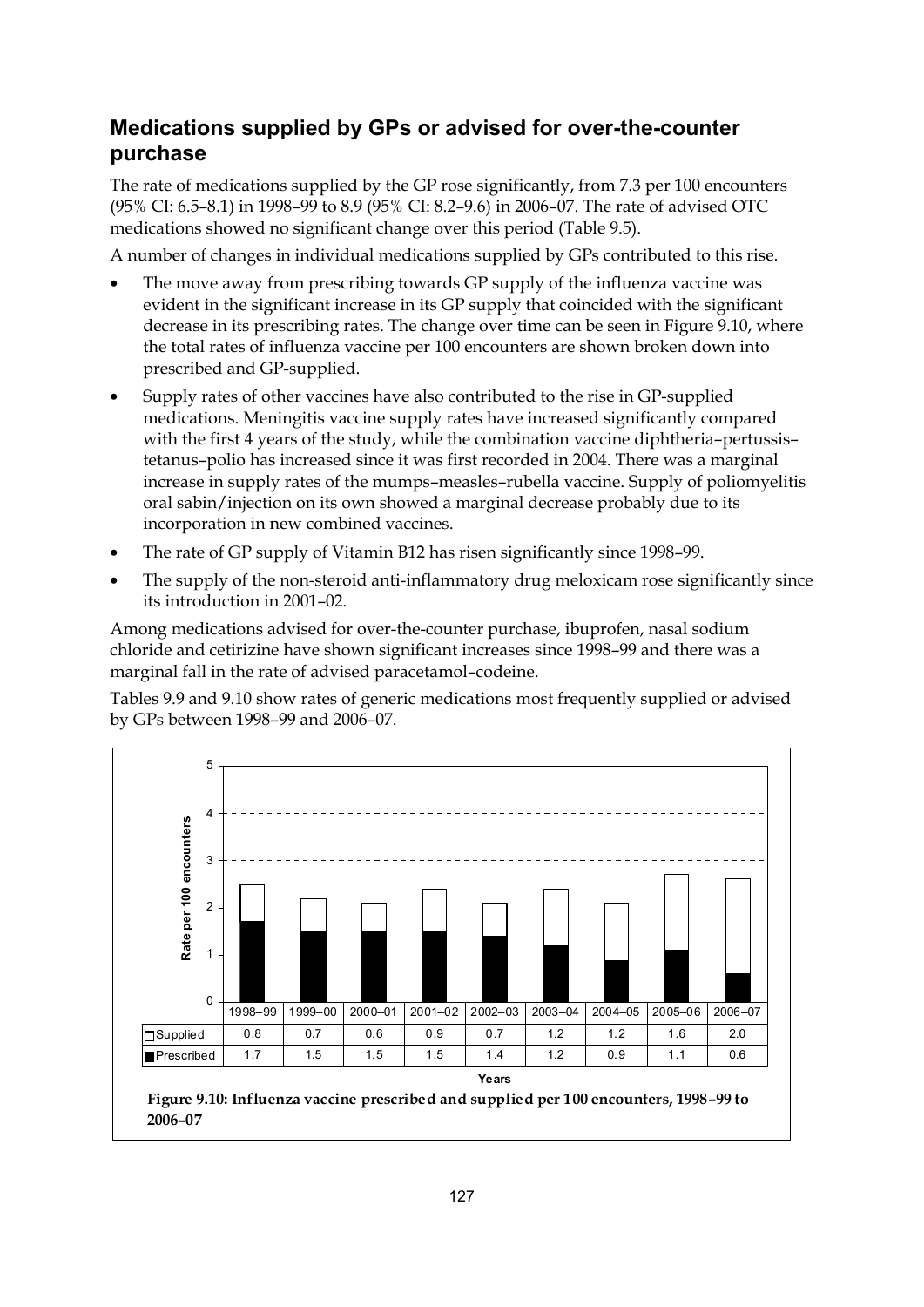# **Medications supplied by GPs or advised for over-the-counter purchase**

The rate of medications supplied by the GP rose significantly, from 7.3 per 100 encounters (95% CI: 6.5–8.1) in 1998–99 to 8.9 (95% CI: 8.2–9.6) in 2006–07. The rate of advised OTC medications showed no significant change over this period (Table 9.5).

A number of changes in individual medications supplied by GPs contributed to this rise.

- The move away from prescribing towards GP supply of the influenza vaccine was evident in the significant increase in its GP supply that coincided with the significant decrease in its prescribing rates. The change over time can be seen in Figure 9.10, where the total rates of influenza vaccine per 100 encounters are shown broken down into prescribed and GP-supplied.
- Supply rates of other vaccines have also contributed to the rise in GP-supplied medications. Meningitis vaccine supply rates have increased significantly compared with the first 4 years of the study, while the combination vaccine diphtheria–pertussis– tetanus–polio has increased since it was first recorded in 2004. There was a marginal increase in supply rates of the mumps–measles–rubella vaccine. Supply of poliomyelitis oral sabin/injection on its own showed a marginal decrease probably due to its incorporation in new combined vaccines.
- The rate of GP supply of Vitamin B12 has risen significantly since 1998–99.
- The supply of the non-steroid anti-inflammatory drug meloxicam rose significantly since its introduction in 2001–02.

Among medications advised for over-the-counter purchase, ibuprofen, nasal sodium chloride and cetirizine have shown significant increases since 1998–99 and there was a marginal fall in the rate of advised paracetamol–codeine.

Tables 9.9 and 9.10 show rates of generic medications most frequently supplied or advised by GPs between 1998–99 and 2006–07.

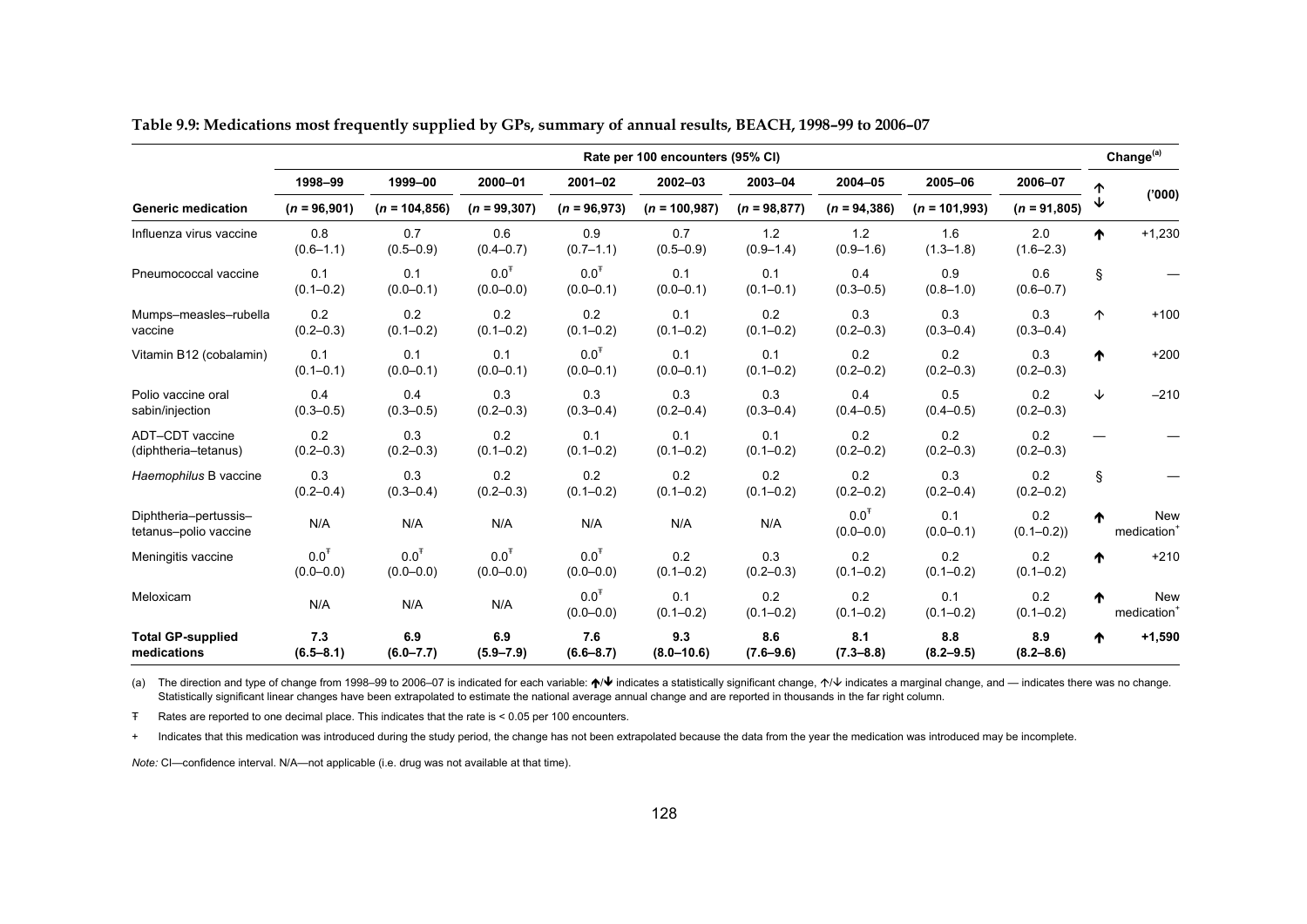|                                                | Rate per 100 encounters (95% CI) |                            |                                   |                                   |                       |                      |                                   |                      |                      |    | Change <sup>(a)</sup>                 |
|------------------------------------------------|----------------------------------|----------------------------|-----------------------------------|-----------------------------------|-----------------------|----------------------|-----------------------------------|----------------------|----------------------|----|---------------------------------------|
|                                                | 1998-99                          | 1999-00                    | 2000-01                           | $2001 - 02$                       | 2002-03               | 2003-04              | 2004-05                           | 2005-06              | 2006-07              | ጥ  |                                       |
| <b>Generic medication</b>                      | $(n = 96,901)$                   | $(n = 104, 856)$           | $(n = 99, 307)$                   | $(n = 96,973)$                    | $(n = 100, 987)$      | $(n = 98, 877)$      | $(n = 94, 386)$                   | $(n = 101,993)$      | $(n = 91,805)$       | ↓  | (000)                                 |
| Influenza virus vaccine                        | 0.8<br>$(0.6 - 1.1)$             | 0.7<br>$(0.5 - 0.9)$       | 0.6<br>$(0.4 - 0.7)$              | 0.9<br>$(0.7 - 1.1)$              | 0.7<br>$(0.5 - 0.9)$  | 1.2<br>$(0.9 - 1.4)$ | 1.2<br>$(0.9 - 1.6)$              | 1.6<br>$(1.3 - 1.8)$ | 2.0<br>$(1.6 - 2.3)$ | ₼  | $+1,230$                              |
| Pneumococcal vaccine                           | 0.1<br>$(0.1 - 0.2)$             | 0.1<br>$(0.0 - 0.1)$       | $0.0^T$<br>$(0.0 - 0.0)$          | $0.0^{T}$<br>$(0.0 - 0.1)$        | 0.1<br>$(0.0 - 0.1)$  | 0.1<br>$(0.1 - 0.1)$ | 0.4<br>$(0.3 - 0.5)$              | 0.9<br>$(0.8 - 1.0)$ | 0.6<br>$(0.6 - 0.7)$ | §. |                                       |
| Mumps-measles-rubella<br>vaccine               | 0.2<br>$(0.2 - 0.3)$             | 0.2<br>$(0.1 - 0.2)$       | 0.2<br>$(0.1 - 0.2)$              | 0.2<br>$(0.1 - 0.2)$              | 0.1<br>$(0.1 - 0.2)$  | 0.2<br>$(0.1 - 0.2)$ | 0.3<br>$(0.2 - 0.3)$              | 0.3<br>$(0.3 - 0.4)$ | 0.3<br>$(0.3 - 0.4)$ | 个  | $+100$                                |
| Vitamin B12 (cobalamin)                        | 0.1<br>$(0.1 - 0.1)$             | 0.1<br>$(0.0 - 0.1)$       | 0.1<br>$(0.0 - 0.1)$              | 0.0 <sup>T</sup><br>$(0.0 - 0.1)$ | 0.1<br>$(0.0 - 0.1)$  | 0.1<br>$(0.1 - 0.2)$ | 0.2<br>$(0.2 - 0.2)$              | 0.2<br>$(0.2 - 0.3)$ | 0.3<br>$(0.2 - 0.3)$ | ↑  | $+200$                                |
| Polio vaccine oral<br>sabin/injection          | 0.4<br>$(0.3 - 0.5)$             | 0.4<br>$(0.3 - 0.5)$       | 0.3<br>$(0.2 - 0.3)$              | 0.3<br>$(0.3 - 0.4)$              | 0.3<br>$(0.2 - 0.4)$  | 0.3<br>$(0.3 - 0.4)$ | 0.4<br>$(0.4 - 0.5)$              | 0.5<br>$(0.4 - 0.5)$ | 0.2<br>$(0.2 - 0.3)$ | ↓  | $-210$                                |
| ADT-CDT vaccine<br>(diphtheria-tetanus)        | 0.2<br>$(0.2 - 0.3)$             | 0.3<br>$(0.2 - 0.3)$       | 0.2<br>$(0.1 - 0.2)$              | 0.1<br>$(0.1 - 0.2)$              | 0.1<br>$(0.1 - 0.2)$  | 0.1<br>$(0.1 - 0.2)$ | 0.2<br>$(0.2 - 0.2)$              | 0.2<br>$(0.2 - 0.3)$ | 0.2<br>$(0.2 - 0.3)$ |    |                                       |
| Haemophilus B vaccine                          | 0.3<br>$(0.2 - 0.4)$             | 0.3<br>$(0.3 - 0.4)$       | 0.2<br>$(0.2 - 0.3)$              | 0.2<br>$(0.1 - 0.2)$              | 0.2<br>$(0.1 - 0.2)$  | 0.2<br>$(0.1 - 0.2)$ | 0.2<br>$(0.2 - 0.2)$              | 0.3<br>$(0.2 - 0.4)$ | 0.2<br>$(0.2 - 0.2)$ | Ş  |                                       |
| Diphtheria-pertussis-<br>tetanus-polio vaccine | N/A                              | N/A                        | N/A                               | N/A                               | N/A                   | N/A                  | 0.0 <sup>T</sup><br>$(0.0 - 0.0)$ | 0.1<br>$(0.0 - 0.1)$ | 0.2<br>$(0.1 - 0.2)$ | ♠  | <b>New</b><br>medication              |
| Meningitis vaccine                             | $0.0^T$<br>$(0.0 - 0.0)$         | $0.0^\mp$<br>$(0.0 - 0.0)$ | 0.0 <sup>T</sup><br>$(0.0 - 0.0)$ | $0.0^T$<br>$(0.0 - 0.0)$          | 0.2<br>$(0.1 - 0.2)$  | 0.3<br>$(0.2 - 0.3)$ | 0.2<br>$(0.1 - 0.2)$              | 0.2<br>$(0.1 - 0.2)$ | 0.2<br>$(0.1 - 0.2)$ | ₼  | $+210$                                |
| Meloxicam                                      | N/A                              | N/A                        | N/A                               | 0.0 <sup>T</sup><br>$(0.0 - 0.0)$ | 0.1<br>$(0.1 - 0.2)$  | 0.2<br>$(0.1 - 0.2)$ | 0.2<br>$(0.1 - 0.2)$              | 0.1<br>$(0.1 - 0.2)$ | 0.2<br>$(0.1 - 0.2)$ | ♠  | <b>New</b><br>medication <sup>1</sup> |
| <b>Total GP-supplied</b><br>medications        | 7.3<br>$(6.5 - 8.1)$             | 6.9<br>$(6.0 - 7.7)$       | 6.9<br>$(5.9 - 7.9)$              | 7.6<br>$(6.6 - 8.7)$              | 9.3<br>$(8.0 - 10.6)$ | 8.6<br>$(7.6 - 9.6)$ | 8.1<br>$(7.3 - 8.8)$              | 8.8<br>$(8.2 - 9.5)$ | 8.9<br>$(8.2 - 8.6)$ | ♠  | $+1,590$                              |

**Table 9.9: Medications most frequently supplied by GPs, summary of annual results, BEACH, 1998–99 to 2006–07** 

(a) The direction and type of change from 1998–99 to 2006–07 is indicated for each variable: ♦ ♦ indicates a statistically significant change,  $\uparrow\downarrow$  indicates a marginal change, and — indicates there was no change. Statistically significant linear changes have been extrapolated to estimate the national average annual change and are reported in thousands in the far right column.

Ŧ Rates are reported to one decimal place. This indicates that the rate is < 0.05 per 100 encounters.

+ Indicates that this medication was introduced during the study period, the change has not been extrapolated because the data from the year the medication was introduced may be incomplete.

*Note:* CI—confidence interval. N/A—not applicable (i.e. drug was not available at that time).